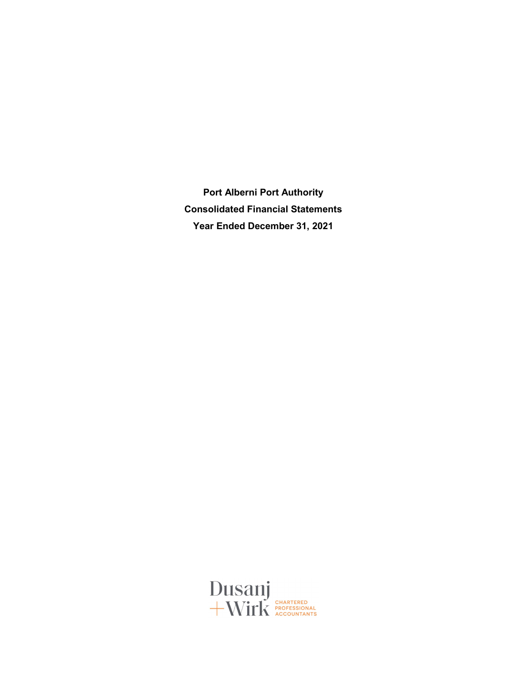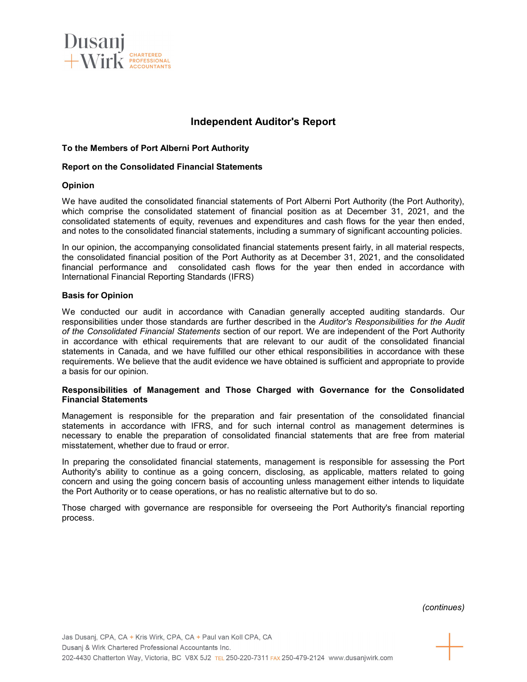

## Independent Auditor's Report

#### To the Members of Port Alberni Port Authority

#### Report on the Consolidated Financial Statements

#### Opinion

We have audited the consolidated financial statements of Port Alberni Port Authority (the Port Authority), which comprise the consolidated statement of financial position as at December 31, 2021, and the consolidated statements of equity, revenues and expenditures and cash flows for the year then ended, and notes to the consolidated financial statements, including a summary of significant accounting policies.

In our opinion, the accompanying consolidated financial statements present fairly, in all material respects, the consolidated financial position of the Port Authority as at December 31, 2021, and the consolidated financial performance and consolidated cash flows for the year then ended in accordance with International Financial Reporting Standards (IFRS)

#### Basis for Opinion

We conducted our audit in accordance with Canadian generally accepted auditing standards. Our responsibilities under those standards are further described in the Auditor's Responsibilities for the Audit of the Consolidated Financial Statements section of our report. We are independent of the Port Authority in accordance with ethical requirements that are relevant to our audit of the consolidated financial statements in Canada, and we have fulfilled our other ethical responsibilities in accordance with these requirements. We believe that the audit evidence we have obtained is sufficient and appropriate to provide a basis for our opinion.

### Responsibilities of Management and Those Charged with Governance for the Consolidated Financial Statements

Management is responsible for the preparation and fair presentation of the consolidated financial statements in accordance with IFRS, and for such internal control as management determines is necessary to enable the preparation of consolidated financial statements that are free from material misstatement, whether due to fraud or error.

In preparing the consolidated financial statements, management is responsible for assessing the Port Authority's ability to continue as a going concern, disclosing, as applicable, matters related to going concern and using the going concern basis of accounting unless management either intends to liquidate the Port Authority or to cease operations, or has no realistic alternative but to do so.

Those charged with governance are responsible for overseeing the Port Authority's financial reporting process.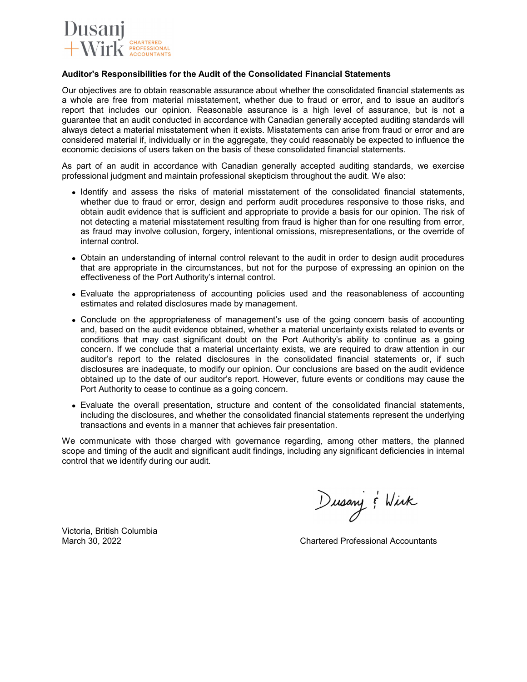

## Auditor's Responsibilities for the Audit of the Consolidated Financial Statements

Our objectives are to obtain reasonable assurance about whether the consolidated financial statements as a whole are free from material misstatement, whether due to fraud or error, and to issue an auditor's report that includes our opinion. Reasonable assurance is a high level of assurance, but is not a guarantee that an audit conducted in accordance with Canadian generally accepted auditing standards will always detect a material misstatement when it exists. Misstatements can arise from fraud or error and are considered material if, individually or in the aggregate, they could reasonably be expected to influence the economic decisions of users taken on the basis of these consolidated financial statements.

As part of an audit in accordance with Canadian generally accepted auditing standards, we exercise professional judgment and maintain professional skepticism throughout the audit. We also:

- Identify and assess the risks of material misstatement of the consolidated financial statements, whether due to fraud or error, design and perform audit procedures responsive to those risks, and obtain audit evidence that is sufficient and appropriate to provide a basis for our opinion. The risk of not detecting a material misstatement resulting from fraud is higher than for one resulting from error, as fraud may involve collusion, forgery, intentional omissions, misrepresentations, or the override of internal control.
- Obtain an understanding of internal control relevant to the audit in order to design audit procedures that are appropriate in the circumstances, but not for the purpose of expressing an opinion on the effectiveness of the Port Authority's internal control.
- Evaluate the appropriateness of accounting policies used and the reasonableness of accounting estimates and related disclosures made by management.
- Conclude on the appropriateness of management's use of the going concern basis of accounting and, based on the audit evidence obtained, whether a material uncertainty exists related to events or conditions that may cast significant doubt on the Port Authority's ability to continue as a going concern. If we conclude that a material uncertainty exists, we are required to draw attention in our auditor's report to the related disclosures in the consolidated financial statements or, if such disclosures are inadequate, to modify our opinion. Our conclusions are based on the audit evidence obtained up to the date of our auditor's report. However, future events or conditions may cause the Port Authority to cease to continue as a going concern.
- Evaluate the overall presentation, structure and content of the consolidated financial statements, including the disclosures, and whether the consolidated financial statements represent the underlying transactions and events in a manner that achieves fair presentation.

We communicate with those charged with governance regarding, among other matters, the planned scope and timing of the audit and significant audit findings, including any significant deficiencies in internal control that we identify during our audit.

Victoria, British Columbia

Dusanj & Wirk

March 30, 2022 Chartered Professional Accountants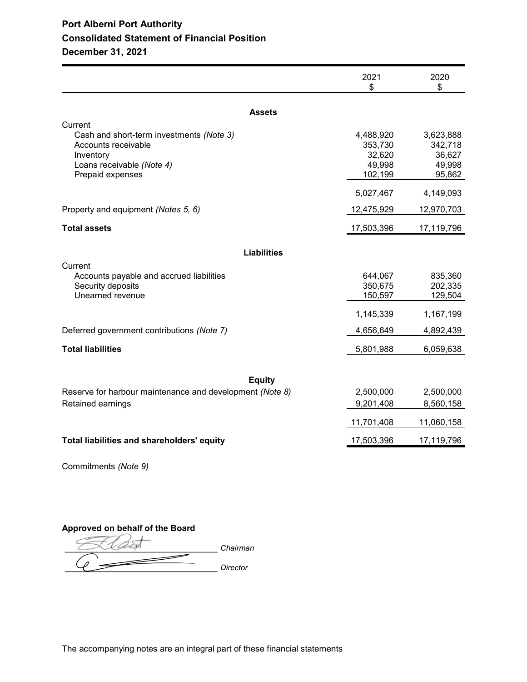## Port Alberni Port Authority Consolidated Statement of Financial Position December 31, 2021

|                                                                                                                                          | 2021<br>\$                                          | 2020<br>\$                                         |
|------------------------------------------------------------------------------------------------------------------------------------------|-----------------------------------------------------|----------------------------------------------------|
| <b>Assets</b>                                                                                                                            |                                                     |                                                    |
| Current<br>Cash and short-term investments (Note 3)<br>Accounts receivable<br>Inventory<br>Loans receivable (Note 4)<br>Prepaid expenses | 4,488,920<br>353,730<br>32,620<br>49,998<br>102,199 | 3,623,888<br>342,718<br>36,627<br>49,998<br>95,862 |
|                                                                                                                                          | 5,027,467                                           | 4,149,093                                          |
| Property and equipment (Notes 5, 6)                                                                                                      | 12,475,929                                          | 12,970,703                                         |
| <b>Total assets</b>                                                                                                                      | 17,503,396                                          | 17,119,796                                         |
| <b>Liabilities</b>                                                                                                                       |                                                     |                                                    |
| Current<br>Accounts payable and accrued liabilities<br>Security deposits<br>Unearned revenue                                             | 644,067<br>350,675<br>150,597<br>1,145,339          | 835,360<br>202,335<br>129,504<br>1,167,199         |
| Deferred government contributions (Note 7)                                                                                               | 4,656,649                                           | 4,892,439                                          |
| <b>Total liabilities</b>                                                                                                                 | 5,801,988                                           | 6,059,638                                          |
| <b>Equity</b>                                                                                                                            |                                                     |                                                    |
| Reserve for harbour maintenance and development (Note 8)                                                                                 | 2,500,000                                           | 2,500,000                                          |
| Retained earnings                                                                                                                        | 9,201,408                                           | 8,560,158                                          |
|                                                                                                                                          | 11,701,408                                          | 11,060,158                                         |
| Total liabilities and shareholders' equity                                                                                               | 17,503,396                                          | 17,119,796                                         |

Commitments (Note 9)

## Approved on behalf of the Board

 $\_$  Chairman - $\ell$  Director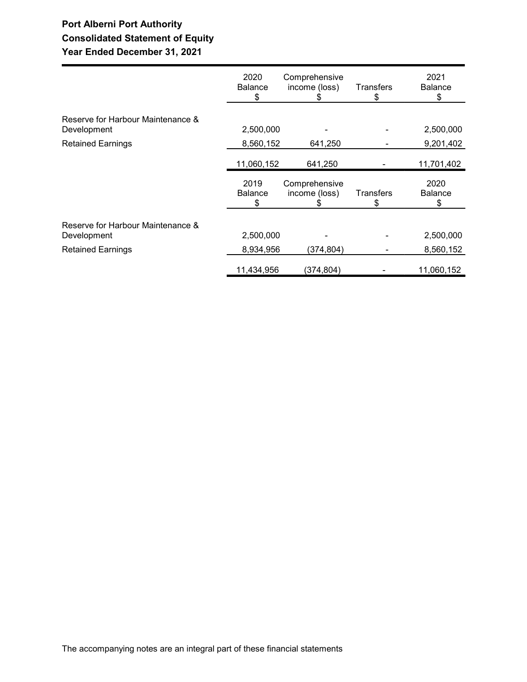## Port Alberni Port Authority Consolidated Statement of Equity Year Ended December 31, 2021

|                                                  | 2020<br><b>Balance</b><br>\$ | Comprehensive<br>income (loss) | <b>Transfers</b><br>\$ | 2021<br><b>Balance</b><br>\$ |
|--------------------------------------------------|------------------------------|--------------------------------|------------------------|------------------------------|
| Reserve for Harbour Maintenance &<br>Development | 2,500,000                    |                                |                        | 2,500,000                    |
| <b>Retained Earnings</b>                         | 8,560,152                    | 641,250                        |                        | 9,201,402                    |
|                                                  | 11,060,152                   | 641,250                        |                        | 11,701,402                   |
|                                                  | 2019<br><b>Balance</b><br>\$ | Comprehensive<br>income (loss) | Transfers<br>\$        | 2020<br>Balance<br>\$        |
| Reserve for Harbour Maintenance &<br>Development | 2,500,000                    |                                |                        | 2,500,000                    |
| <b>Retained Earnings</b>                         | 8,934,956                    | (374, 804)                     |                        | 8,560,152                    |
|                                                  | 11,434,956                   | (374, 804)                     |                        | 11,060,152                   |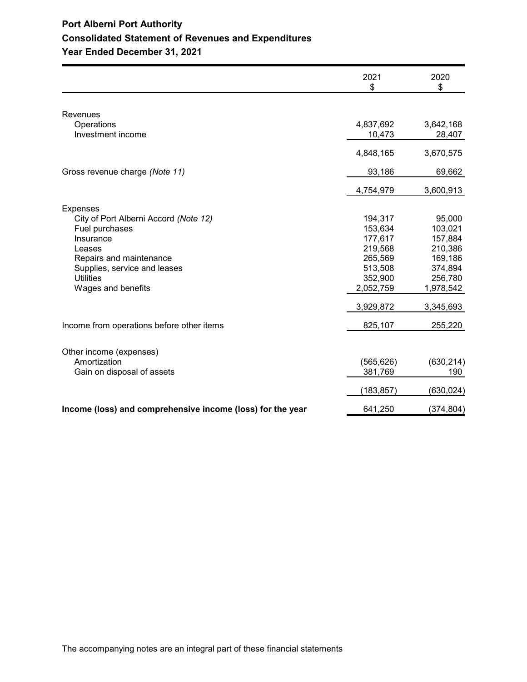## Port Alberni Port Authority Consolidated Statement of Revenues and Expenditures Year Ended December 31, 2021

|                                                            | 2021<br>\$ | 2020<br>\$ |
|------------------------------------------------------------|------------|------------|
|                                                            |            |            |
| Revenues                                                   |            |            |
| Operations                                                 | 4,837,692  | 3,642,168  |
| Investment income                                          | 10,473     | 28,407     |
|                                                            | 4,848,165  | 3,670,575  |
| Gross revenue charge (Note 11)                             | 93,186     | 69,662     |
|                                                            | 4,754,979  | 3,600,913  |
| <b>Expenses</b>                                            |            |            |
| City of Port Alberni Accord (Note 12)                      | 194,317    | 95,000     |
| Fuel purchases                                             | 153,634    | 103,021    |
| Insurance                                                  | 177,617    | 157,884    |
| Leases                                                     | 219,568    | 210,386    |
| Repairs and maintenance                                    | 265,569    | 169,186    |
| Supplies, service and leases                               | 513,508    | 374,894    |
| Utilities                                                  | 352,900    | 256,780    |
| Wages and benefits                                         | 2,052,759  | 1,978,542  |
|                                                            | 3,929,872  | 3,345,693  |
| Income from operations before other items                  | 825,107    | 255,220    |
| Other income (expenses)                                    |            |            |
| Amortization                                               | (565, 626) | (630, 214) |
| Gain on disposal of assets                                 | 381,769    | 190        |
|                                                            | (183, 857) | (630, 024) |
| Income (loss) and comprehensive income (loss) for the year | 641,250    | (374, 804) |
|                                                            |            |            |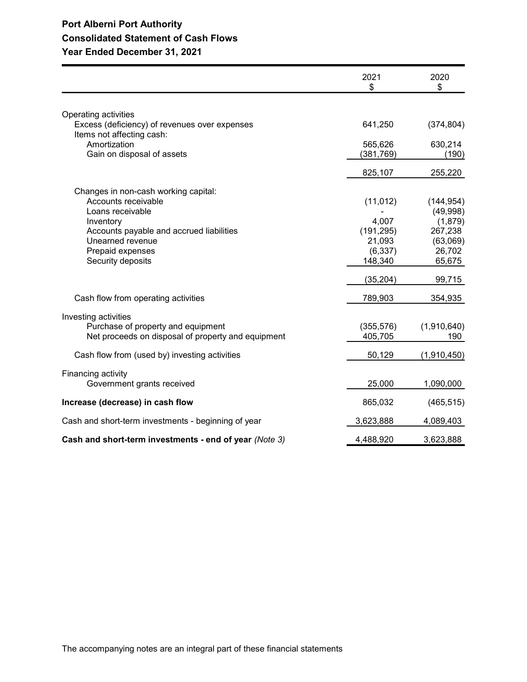# Port Alberni Port Authority Consolidated Statement of Cash Flows

## Year Ended December 31, 2021

|                                                                            | 2021<br>\$ | 2020<br>\$  |
|----------------------------------------------------------------------------|------------|-------------|
| Operating activities                                                       |            |             |
| Excess (deficiency) of revenues over expenses<br>Items not affecting cash: | 641,250    | (374, 804)  |
| Amortization                                                               | 565,626    | 630,214     |
| Gain on disposal of assets                                                 | (381, 769) | (190)       |
|                                                                            | 825,107    | 255,220     |
| Changes in non-cash working capital:                                       |            |             |
| Accounts receivable                                                        | (11, 012)  | (144, 954)  |
| Loans receivable                                                           |            | (49,998)    |
| Inventory                                                                  | 4,007      | (1,879)     |
| Accounts payable and accrued liabilities                                   | (191, 295) | 267,238     |
| Unearned revenue                                                           | 21,093     | (63,069)    |
| Prepaid expenses                                                           | (6, 337)   | 26,702      |
| Security deposits                                                          | 148,340    | 65,675      |
|                                                                            | (35, 204)  | 99,715      |
| Cash flow from operating activities                                        | 789,903    | 354,935     |
| Investing activities                                                       |            |             |
| Purchase of property and equipment                                         | (355, 576) | (1,910,640) |
| Net proceeds on disposal of property and equipment                         | 405,705    | 190         |
| Cash flow from (used by) investing activities                              | 50,129     | (1,910,450) |
| Financing activity                                                         |            |             |
| Government grants received                                                 | 25,000     | 1,090,000   |
| Increase (decrease) in cash flow                                           | 865,032    | (465, 515)  |
| Cash and short-term investments - beginning of year                        | 3,623,888  | 4,089,403   |
| Cash and short-term investments - end of year (Note 3)                     | 4,488,920  | 3,623,888   |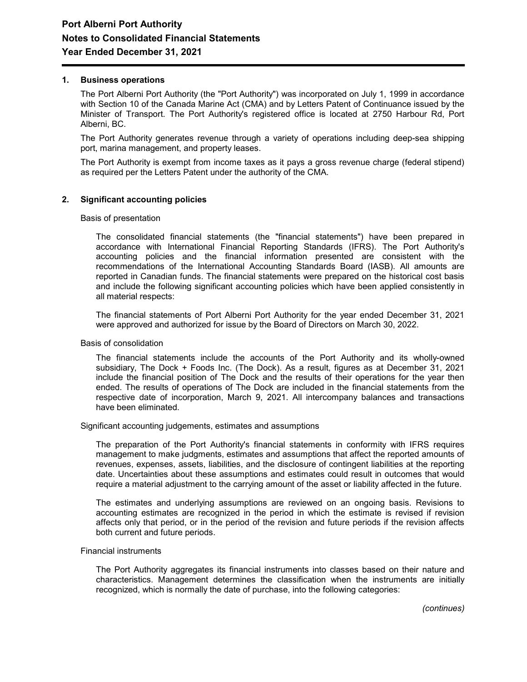#### 1. Business operations

The Port Alberni Port Authority (the "Port Authority") was incorporated on July 1, 1999 in accordance with Section 10 of the Canada Marine Act (CMA) and by Letters Patent of Continuance issued by the Minister of Transport. The Port Authority's registered office is located at 2750 Harbour Rd, Port Alberni, BC.

The Port Authority generates revenue through a variety of operations including deep-sea shipping port, marina management, and property leases.

The Port Authority is exempt from income taxes as it pays a gross revenue charge (federal stipend) as required per the Letters Patent under the authority of the CMA.

#### 2. Significant accounting policies

#### Basis of presentation

The consolidated financial statements (the "financial statements") have been prepared in accordance with International Financial Reporting Standards (IFRS). The Port Authority's accounting policies and the financial information presented are consistent with the recommendations of the International Accounting Standards Board (IASB). All amounts are reported in Canadian funds. The financial statements were prepared on the historical cost basis and include the following significant accounting policies which have been applied consistently in all material respects:

The financial statements of Port Alberni Port Authority for the year ended December 31, 2021 were approved and authorized for issue by the Board of Directors on March 30, 2022.

#### Basis of consolidation

The financial statements include the accounts of the Port Authority and its wholly-owned subsidiary, The Dock + Foods Inc. (The Dock). As a result, figures as at December 31, 2021 include the financial position of The Dock and the results of their operations for the year then ended. The results of operations of The Dock are included in the financial statements from the respective date of incorporation, March 9, 2021. All intercompany balances and transactions have been eliminated.

#### Significant accounting judgements, estimates and assumptions

The preparation of the Port Authority's financial statements in conformity with IFRS requires management to make judgments, estimates and assumptions that affect the reported amounts of revenues, expenses, assets, liabilities, and the disclosure of contingent liabilities at the reporting date. Uncertainties about these assumptions and estimates could result in outcomes that would require a material adjustment to the carrying amount of the asset or liability affected in the future.

The estimates and underlying assumptions are reviewed on an ongoing basis. Revisions to accounting estimates are recognized in the period in which the estimate is revised if revision affects only that period, or in the period of the revision and future periods if the revision affects both current and future periods.

#### Financial instruments

The Port Authority aggregates its financial instruments into classes based on their nature and characteristics. Management determines the classification when the instruments are initially recognized, which is normally the date of purchase, into the following categories: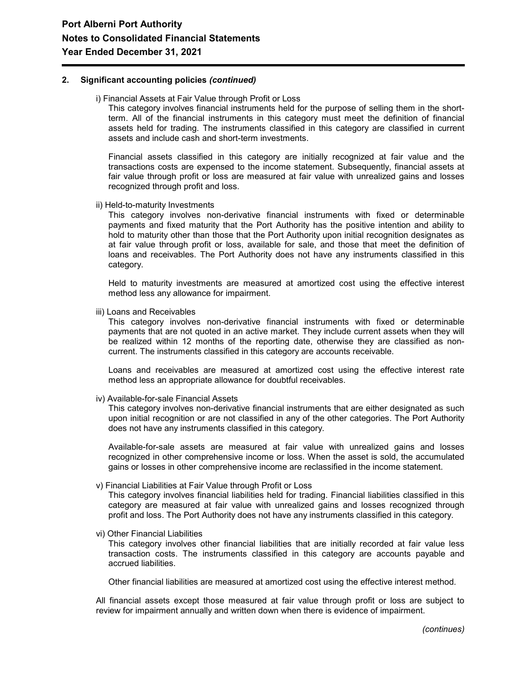#### i) Financial Assets at Fair Value through Profit or Loss

This category involves financial instruments held for the purpose of selling them in the shortterm. All of the financial instruments in this category must meet the definition of financial assets held for trading. The instruments classified in this category are classified in current assets and include cash and short-term investments.

Financial assets classified in this category are initially recognized at fair value and the transactions costs are expensed to the income statement. Subsequently, financial assets at fair value through profit or loss are measured at fair value with unrealized gains and losses recognized through profit and loss.

ii) Held-to-maturity Investments

This category involves non-derivative financial instruments with fixed or determinable payments and fixed maturity that the Port Authority has the positive intention and ability to hold to maturity other than those that the Port Authority upon initial recognition designates as at fair value through profit or loss, available for sale, and those that meet the definition of loans and receivables. The Port Authority does not have any instruments classified in this category.

Held to maturity investments are measured at amortized cost using the effective interest method less any allowance for impairment.

iii) Loans and Receivables

This category involves non-derivative financial instruments with fixed or determinable payments that are not quoted in an active market. They include current assets when they will be realized within 12 months of the reporting date, otherwise they are classified as noncurrent. The instruments classified in this category are accounts receivable.

Loans and receivables are measured at amortized cost using the effective interest rate method less an appropriate allowance for doubtful receivables.

iv) Available-for-sale Financial Assets

This category involves non-derivative financial instruments that are either designated as such upon initial recognition or are not classified in any of the other categories. The Port Authority does not have any instruments classified in this category.

Available-for-sale assets are measured at fair value with unrealized gains and losses recognized in other comprehensive income or loss. When the asset is sold, the accumulated gains or losses in other comprehensive income are reclassified in the income statement.

### v) Financial Liabilities at Fair Value through Profit or Loss

This category involves financial liabilities held for trading. Financial liabilities classified in this category are measured at fair value with unrealized gains and losses recognized through profit and loss. The Port Authority does not have any instruments classified in this category.

vi) Other Financial Liabilities

This category involves other financial liabilities that are initially recorded at fair value less transaction costs. The instruments classified in this category are accounts payable and accrued liabilities.

Other financial liabilities are measured at amortized cost using the effective interest method.

All financial assets except those measured at fair value through profit or loss are subject to review for impairment annually and written down when there is evidence of impairment.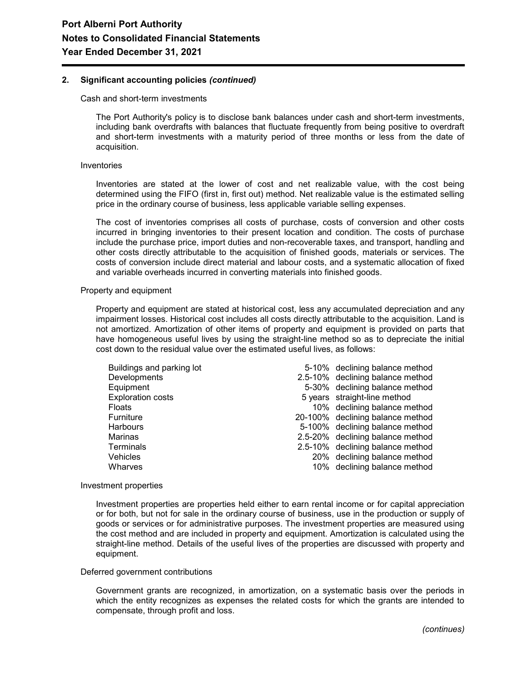Cash and short-term investments

The Port Authority's policy is to disclose bank balances under cash and short-term investments, including bank overdrafts with balances that fluctuate frequently from being positive to overdraft and short-term investments with a maturity period of three months or less from the date of acquisition.

#### Inventories

Inventories are stated at the lower of cost and net realizable value, with the cost being determined using the FIFO (first in, first out) method. Net realizable value is the estimated selling price in the ordinary course of business, less applicable variable selling expenses.

The cost of inventories comprises all costs of purchase, costs of conversion and other costs incurred in bringing inventories to their present location and condition. The costs of purchase include the purchase price, import duties and non-recoverable taxes, and transport, handling and other costs directly attributable to the acquisition of finished goods, materials or services. The costs of conversion include direct material and labour costs, and a systematic allocation of fixed and variable overheads incurred in converting materials into finished goods.

#### Property and equipment

Property and equipment are stated at historical cost, less any accumulated depreciation and any impairment losses. Historical cost includes all costs directly attributable to the acquisition. Land is not amortized. Amortization of other items of property and equipment is provided on parts that have homogeneous useful lives by using the straight-line method so as to depreciate the initial cost down to the residual value over the estimated useful lives, as follows:

| 5-10% declining balance method   |
|----------------------------------|
| 2.5-10% declining balance method |
| 5-30% declining balance method   |
| 5 years straight-line method     |
| 10% declining balance method     |
| 20-100% declining balance method |
| 5-100% declining balance method  |
| 2.5-20% declining balance method |
| 2.5-10% declining balance method |
| 20% declining balance method     |
| 10% declining balance method     |
|                                  |

#### Investment properties

Investment properties are properties held either to earn rental income or for capital appreciation or for both, but not for sale in the ordinary course of business, use in the production or supply of goods or services or for administrative purposes. The investment properties are measured using the cost method and are included in property and equipment. Amortization is calculated using the straight-line method. Details of the useful lives of the properties are discussed with property and equipment.

### Deferred government contributions

Government grants are recognized, in amortization, on a systematic basis over the periods in which the entity recognizes as expenses the related costs for which the grants are intended to compensate, through profit and loss.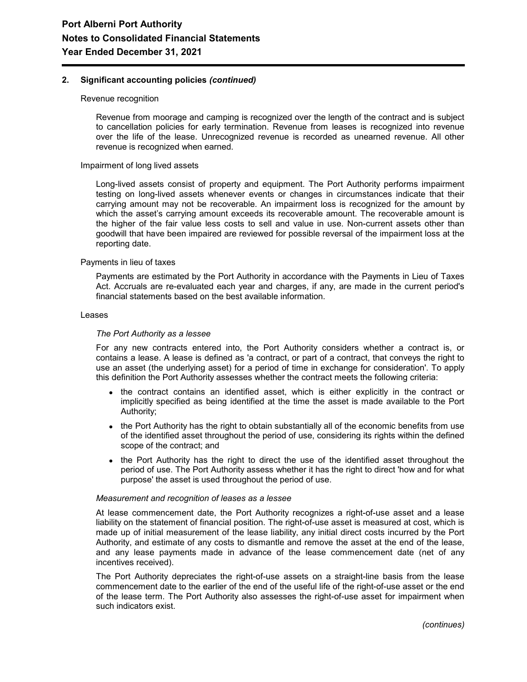#### Revenue recognition

Revenue from moorage and camping is recognized over the length of the contract and is subject to cancellation policies for early termination. Revenue from leases is recognized into revenue over the life of the lease. Unrecognized revenue is recorded as unearned revenue. All other revenue is recognized when earned.

#### Impairment of long lived assets

Long-lived assets consist of property and equipment. The Port Authority performs impairment testing on long-lived assets whenever events or changes in circumstances indicate that their carrying amount may not be recoverable. An impairment loss is recognized for the amount by which the asset's carrying amount exceeds its recoverable amount. The recoverable amount is the higher of the fair value less costs to sell and value in use. Non-current assets other than goodwill that have been impaired are reviewed for possible reversal of the impairment loss at the reporting date.

#### Payments in lieu of taxes

Payments are estimated by the Port Authority in accordance with the Payments in Lieu of Taxes Act. Accruals are re-evaluated each year and charges, if any, are made in the current period's financial statements based on the best available information.

#### Leases

#### The Port Authority as a lessee

For any new contracts entered into, the Port Authority considers whether a contract is, or contains a lease. A lease is defined as 'a contract, or part of a contract, that conveys the right to use an asset (the underlying asset) for a period of time in exchange for consideration'. To apply this definition the Port Authority assesses whether the contract meets the following criteria:

- the contract contains an identified asset, which is either explicitly in the contract or implicitly specified as being identified at the time the asset is made available to the Port Authority;
- the Port Authority has the right to obtain substantially all of the economic benefits from use of the identified asset throughout the period of use, considering its rights within the defined scope of the contract; and
- the Port Authority has the right to direct the use of the identified asset throughout the period of use. The Port Authority assess whether it has the right to direct 'how and for what purpose' the asset is used throughout the period of use.

### Measurement and recognition of leases as a lessee

At lease commencement date, the Port Authority recognizes a right-of-use asset and a lease liability on the statement of financial position. The right-of-use asset is measured at cost, which is made up of initial measurement of the lease liability, any initial direct costs incurred by the Port Authority, and estimate of any costs to dismantle and remove the asset at the end of the lease, and any lease payments made in advance of the lease commencement date (net of any incentives received).

The Port Authority depreciates the right-of-use assets on a straight-line basis from the lease commencement date to the earlier of the end of the useful life of the right-of-use asset or the end of the lease term. The Port Authority also assesses the right-of-use asset for impairment when such indicators exist.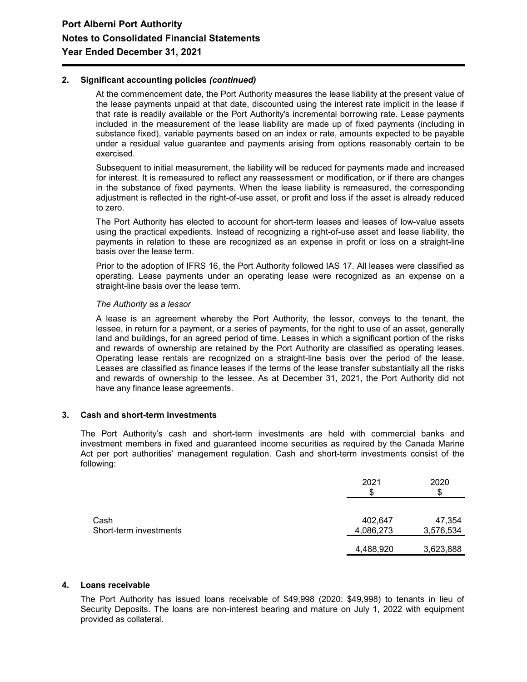At the commencement date, the Port Authority measures the lease liability at the present value of the lease payments unpaid at that date, discounted using the interest rate implicit in the lease if that rate is readily available or the Port Authority's incremental borrowing rate. Lease payments included in the measurement of the lease liability are made up of fixed payments (including in substance fixed), variable payments based on an index or rate, amounts expected to be payable under a residual value guarantee and payments arising from options reasonably certain to be exercised.

Subsequent to initial measurement, the liability will be reduced for payments made and increased for interest. It is remeasured to reflect any reassessment or modification, or if there are changes in the substance of fixed payments. When the lease liability is remeasured, the corresponding adjustment is reflected in the right-of-use asset, or profit and loss if the asset is already reduced to zero.

The Port Authority has elected to account for short-term leases and leases of low-value assets using the practical expedients. Instead of recognizing a right-of-use asset and lease liability, the payments in relation to these are recognized as an expense in profit or loss on a straight-line basis over the lease term.

Prior to the adoption of IFRS 16, the Port Authority followed IAS 17. All leases were classified as operating. Lease payments under an operating lease were recognized as an expense on a straight-line basis over the lease term.

### The Authority as a lessor

A lease is an agreement whereby the Port Authority, the lessor, conveys to the tenant, the lessee, in return for a payment, or a series of payments, for the right to use of an asset, generally land and buildings, for an agreed period of time. Leases in which a significant portion of the risks and rewards of ownership are retained by the Port Authority are classified as operating leases. Operating lease rentals are recognized on a straight-line basis over the period of the lease. Leases are classified as finance leases if the terms of the lease transfer substantially all the risks and rewards of ownership to the lessee. As at December 31, 2021, the Port Authority did not have any finance lease agreements.

### 3. Cash and short-term investments

The Port Authority's cash and short-term investments are held with commercial banks and investment members in fixed and guaranteed income securities as required by the Canada Marine Act per port authorities' management regulation. Cash and short-term investments consist of the following:

|                                | 2021<br>S            | 2020<br>۰D          |
|--------------------------------|----------------------|---------------------|
| Cash<br>Short-term investments | 402,647<br>4,086,273 | 47,354<br>3,576,534 |
|                                | 4,488,920            | 3,623,888           |

### 4. Loans receivable

The Port Authority has issued loans receivable of \$49,998 (2020: \$49,998) to tenants in lieu of Security Deposits. The loans are non-interest bearing and mature on July 1, 2022 with equipment provided as collateral.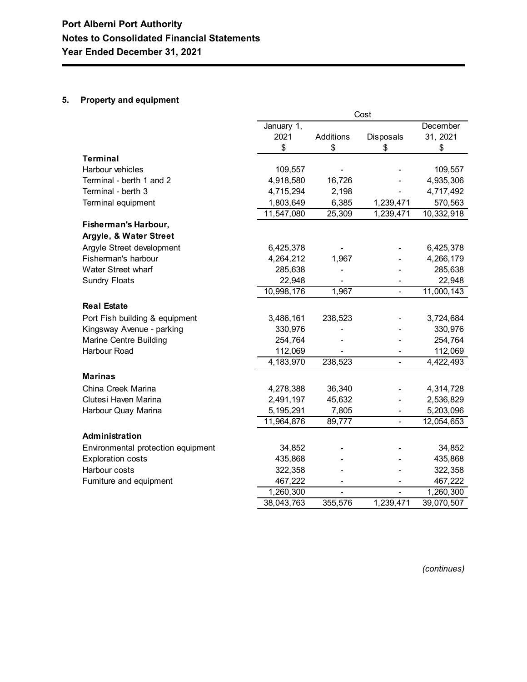## 5. Property and equipment

| <b>Property and equipment</b>      |                      |                          |                          |                      |
|------------------------------------|----------------------|--------------------------|--------------------------|----------------------|
|                                    |                      |                          | Cost                     |                      |
|                                    | January 1,<br>2021   | Additions                | Disposals                | December<br>31, 2021 |
|                                    | \$                   | \$                       | \$                       | \$                   |
| <b>Terminal</b>                    |                      |                          |                          |                      |
| Harbour vehicles                   | 109,557              |                          |                          | 109,557              |
| Terminal - berth 1 and 2           | 4,918,580            | 16,726                   |                          | 4,935,306            |
| Terminal - berth 3                 | 4,715,294            | 2,198                    |                          | 4,717,492            |
| Terminal equipment                 | 1,803,649            | 6,385                    | 1,239,471                | 570,563              |
|                                    | 11,547,080           | 25,309                   | 1,239,471                | 10,332,918           |
| Fisherman's Harbour,               |                      |                          |                          |                      |
| Argyle, & Water Street             |                      |                          |                          |                      |
| Argyle Street development          | 6,425,378            |                          |                          | 6,425,378            |
| Fisherman's harbour                | 4,264,212            | 1,967                    |                          | 4,266,179            |
| Water Street wharf                 | 285,638              | $\overline{\phantom{a}}$ |                          | 285,638              |
| <b>Sundry Floats</b>               | 22,948<br>10,998,176 | $\blacksquare$<br>1,967  | $\overline{\phantom{0}}$ | 22,948<br>11,000,143 |
|                                    |                      |                          | $\blacksquare$           |                      |
| <b>Real Estate</b>                 |                      |                          |                          |                      |
| Port Fish building & equipment     | 3,486,161            | 238,523                  |                          | 3,724,684            |
| Kingsway Avenue - parking          | 330,976              |                          |                          | 330,976              |
| Marine Centre Building             | 254,764              |                          |                          | 254,764              |
| Harbour Road                       | 112,069              |                          |                          | 112,069              |
|                                    | 4,183,970            | 238,523                  | $\blacksquare$           | 4,422,493            |
| <b>Marinas</b>                     |                      |                          |                          |                      |
| China Creek Marina                 | 4,278,388            | 36,340                   | $\blacksquare$           | 4,314,728            |
| Clutesi Haven Marina               | 2,491,197            | 45,632                   |                          | 2,536,829            |
| Harbour Quay Marina                | 5, 195, 291          | 7,805                    | $\overline{\phantom{a}}$ | 5,203,096            |
|                                    | 11,964,876           | 89,777                   | $\blacksquare$           | 12,054,653           |
| Administration                     |                      |                          |                          |                      |
| Environmental protection equipment | 34,852               |                          |                          | 34,852               |
| <b>Exploration costs</b>           | 435,868              |                          |                          | 435,868              |
| Harbour costs                      | 322,358              |                          |                          | 322,358              |
| Furniture and equipment            | 467,222              | ٠                        |                          | 467,222              |
|                                    | 1,260,300            | $\blacksquare$           | ٠                        | 1,260,300            |
|                                    | 38,043,763           | 355,576                  | 1,239,471                | 39,070,507           |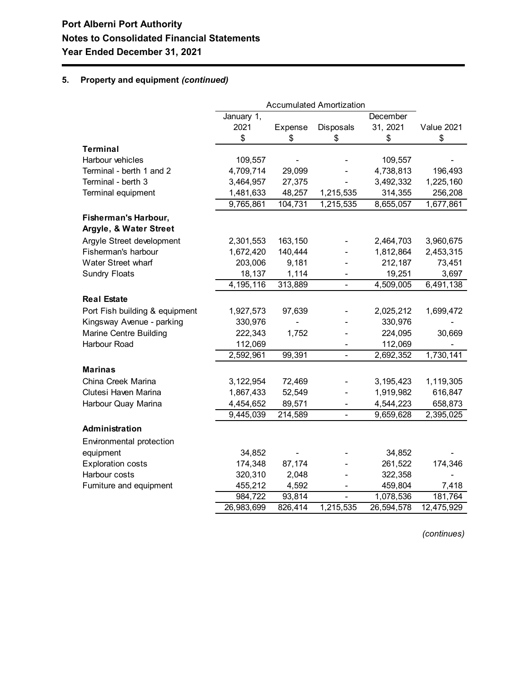## 5. Property and equipment (continued)

| Property and equipment (continued) |                    |         |                                              |                      |            |
|------------------------------------|--------------------|---------|----------------------------------------------|----------------------|------------|
|                                    |                    |         |                                              |                      |            |
|                                    | January 1,<br>2021 | Expense | <b>Accumulated Amortization</b><br>Disposals | December<br>31, 2021 | Value 2021 |
|                                    | \$                 | \$      | \$                                           | \$                   | \$         |
| <b>Terminal</b>                    |                    |         |                                              |                      |            |
| Harbour vehicles                   | 109,557            |         |                                              | 109,557              |            |
| Terminal - berth 1 and 2           | 4,709,714          | 29,099  |                                              | 4,738,813            | 196,493    |
| Terminal - berth 3                 | 3,464,957          | 27,375  |                                              | 3,492,332            | 1,225,160  |
| Terminal equipment                 | 1,481,633          | 48,257  | 1,215,535                                    | 314,355              | 256,208    |
|                                    | 9,765,861          | 104,731 | 1,215,535                                    | 8,655,057            | 1,677,861  |
| Fisherman's Harbour,               |                    |         |                                              |                      |            |
| Argyle, & Water Street             |                    |         |                                              |                      |            |
| Argyle Street development          | 2,301,553          | 163,150 |                                              | 2,464,703            | 3,960,675  |
| Fisherman's harbour                | 1,672,420          | 140,444 |                                              | 1,812,864            | 2,453,315  |
| Water Street wharf                 | 203,006            | 9,181   |                                              | 212,187              | 73,451     |
| <b>Sundry Floats</b>               | 18,137             | 1,114   |                                              | 19,251               | 3,697      |
|                                    | 4, 195, 116        | 313,889 | $\blacksquare$                               | 4,509,005            | 6,491,138  |
|                                    |                    |         |                                              |                      |            |
| <b>Real Estate</b>                 |                    |         |                                              |                      |            |
| Port Fish building & equipment     | 1,927,573          | 97,639  |                                              | 2,025,212            | 1,699,472  |
| Kingsway Avenue - parking          | 330,976            |         |                                              | 330,976              |            |
| <b>Marine Centre Building</b>      | 222,343            | 1,752   |                                              | 224,095              | 30,669     |
| Harbour Road                       | 112,069            |         | $\overline{\phantom{a}}$                     | 112,069              |            |
|                                    | 2,592,961          | 99,391  | $\blacksquare$                               | 2,692,352            | 1,730,141  |
| <b>Marinas</b>                     |                    |         |                                              |                      |            |
| China Creek Marina                 | 3,122,954          | 72,469  |                                              | 3,195,423            | 1,119,305  |
| Clutesi Haven Marina               | 1,867,433          | 52,549  |                                              | 1,919,982            | 616,847    |
| Harbour Quay Marina                | 4,454,652          | 89,571  | ٠                                            | 4,544,223            | 658,873    |
|                                    | 9,445,039          | 214,589 | $\blacksquare$                               | 9,659,628            | 2,395,025  |
| Administration                     |                    |         |                                              |                      |            |
|                                    |                    |         |                                              |                      |            |
| Environmental protection           |                    |         |                                              |                      |            |
| equipment                          | 34,852             |         |                                              | 34,852               |            |
| <b>Exploration costs</b>           | 174,348            | 87,174  |                                              | 261,522              | 174,346    |
| Harbour costs                      | 320,310            | 2,048   |                                              | 322,358              |            |
| Furniture and equipment            | 455,212            | 4,592   |                                              | 459,804              | 7,418      |
|                                    | 984,722            | 93,814  | $\overline{\phantom{a}}$                     | 1,078,536            | 181,764    |
|                                    | 26,983,699         | 826,414 | 1,215,535                                    | 26,594,578           |            |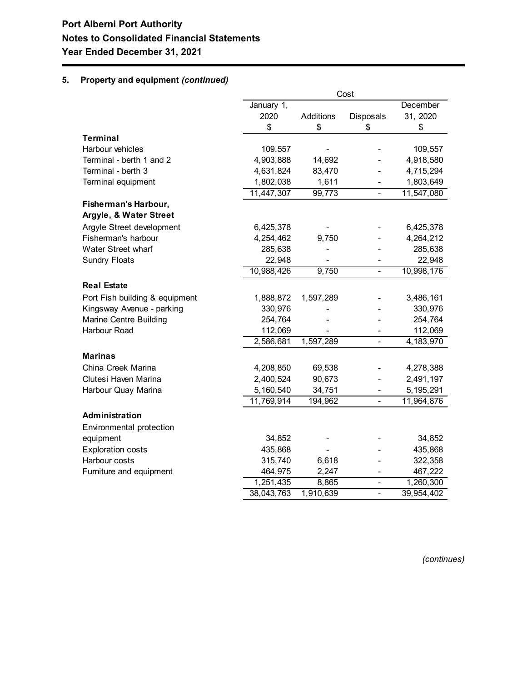## 5. Property and equipment (continued)

| Property and equipment (continued) |            |                 |                          |                |
|------------------------------------|------------|-----------------|--------------------------|----------------|
|                                    |            |                 | Cost                     |                |
|                                    | January 1, |                 |                          | December       |
|                                    | 2020<br>\$ | Additions<br>\$ | Disposals<br>\$          | 31, 2020<br>\$ |
| <b>Terminal</b>                    |            |                 |                          |                |
| Harbour vehicles                   | 109,557    |                 |                          | 109,557        |
| Terminal - berth 1 and 2           | 4,903,888  | 14,692          |                          | 4,918,580      |
| Terminal - berth 3                 | 4,631,824  | 83,470          |                          | 4,715,294      |
| Terminal equipment                 | 1,802,038  | 1,611           | $\blacksquare$           | 1,803,649      |
|                                    | 11,447,307 | 99,773          | $\blacksquare$           | 11,547,080     |
| Fisherman's Harbour,               |            |                 |                          |                |
|                                    |            |                 |                          |                |
| Argyle, & Water Street             |            |                 |                          |                |
| Argyle Street development          | 6,425,378  |                 |                          | 6,425,378      |
| Fisherman's harbour                | 4,254,462  | 9,750           |                          | 4,264,212      |
| Water Street wharf                 | 285,638    | $\blacksquare$  |                          | 285,638        |
| <b>Sundry Floats</b>               | 22,948     |                 |                          | 22,948         |
|                                    | 10,988,426 | 9,750           | $\blacksquare$           | 10,998,176     |
| <b>Real Estate</b>                 |            |                 |                          |                |
| Port Fish building & equipment     | 1,888,872  | 1,597,289       |                          | 3,486,161      |
| Kingsway Avenue - parking          | 330,976    |                 |                          | 330,976        |
| Marine Centre Building             | 254,764    |                 |                          | 254,764        |
| Harbour Road                       | 112,069    |                 | $\overline{\phantom{a}}$ | 112,069        |
|                                    | 2,586,681  | 1,597,289       | $\blacksquare$           | 4,183,970      |
|                                    |            |                 |                          |                |
| <b>Marinas</b>                     |            |                 |                          |                |
| China Creek Marina                 | 4,208,850  | 69,538          |                          | 4,278,388      |
| Clutesi Haven Marina               | 2,400,524  | 90,673          |                          | 2,491,197      |
| Harbour Quay Marina                | 5,160,540  | 34,751          |                          | 5, 195, 291    |
|                                    | 11,769,914 | 194,962         | $\blacksquare$           | 11,964,876     |
| Administration                     |            |                 |                          |                |
|                                    |            |                 |                          |                |
| Environmental protection           |            |                 |                          |                |
| equipment                          | 34,852     |                 |                          | 34,852         |
| <b>Exploration costs</b>           | 435,868    |                 |                          | 435,868        |
| Harbour costs                      | 315,740    | 6,618           |                          | 322,358        |
| Furniture and equipment            | 464,975    | 2,247           | ۰                        | 467,222        |
|                                    | 1,251,435  | 8,865           | $\blacksquare$           | 1,260,300      |
|                                    | 38,043,763 | 1,910,639       | $\blacksquare$           | 39,954,402     |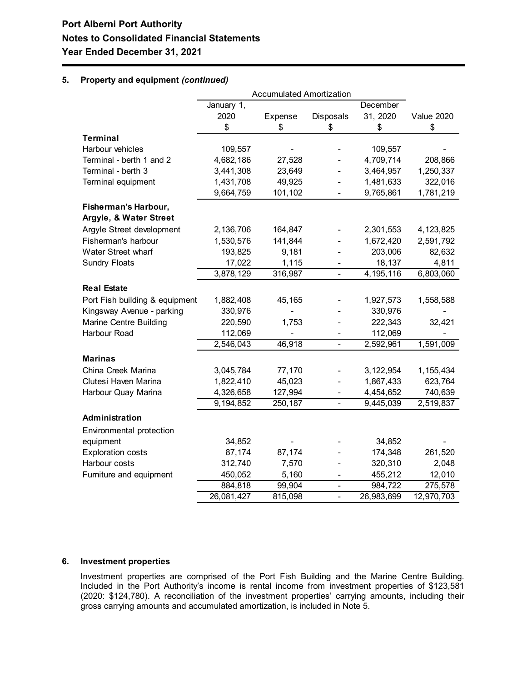## 5. Property and equipment (continued)

| Property and equipment (continued) |            |                                 |                          |             |                   |
|------------------------------------|------------|---------------------------------|--------------------------|-------------|-------------------|
|                                    |            | <b>Accumulated Amortization</b> |                          |             |                   |
|                                    | January 1, |                                 |                          | December    |                   |
|                                    | 2020       | Expense                         | Disposals                | 31, 2020    | <b>Value 2020</b> |
|                                    | \$         | \$                              | \$                       | \$          | \$                |
| <b>Terminal</b>                    |            |                                 |                          |             |                   |
| Harbour vehicles                   | 109,557    |                                 |                          | 109,557     |                   |
| Terminal - berth 1 and 2           | 4,682,186  | 27,528                          |                          | 4,709,714   | 208,866           |
| Terminal - berth 3                 | 3,441,308  | 23,649                          |                          | 3,464,957   | 1,250,337         |
| Terminal equipment                 | 1,431,708  | 49,925                          | $\blacksquare$           | 1,481,633   | 322,016           |
|                                    | 9,664,759  | 101,102                         | $\sim$                   | 9,765,861   | 1,781,219         |
|                                    |            |                                 |                          |             |                   |
| Fisherman's Harbour,               |            |                                 |                          |             |                   |
| Argyle, & Water Street             |            |                                 |                          |             |                   |
| Argyle Street development          | 2,136,706  | 164,847                         |                          | 2,301,553   | 4,123,825         |
| Fisherman's harbour                | 1,530,576  | 141,844                         |                          | 1,672,420   | 2,591,792         |
| Water Street wharf                 | 193,825    | 9,181                           |                          | 203,006     | 82,632            |
| <b>Sundry Floats</b>               | 17,022     | 1,115                           |                          | 18,137      | 4,811             |
|                                    | 3,878,129  | 316,987                         | $\sim$                   | 4, 195, 116 | 6,803,060         |
| <b>Real Estate</b>                 |            |                                 |                          |             |                   |
| Port Fish building & equipment     | 1,882,408  | 45,165                          |                          | 1,927,573   | 1,558,588         |
| Kingsway Avenue - parking          | 330,976    |                                 |                          | 330,976     |                   |
| Marine Centre Building             | 220,590    | 1,753                           |                          | 222,343     | 32,421            |
| Harbour Road                       | 112,069    | $\overline{\phantom{a}}$        |                          | 112,069     |                   |
|                                    | 2,546,043  | 46,918                          | $\blacksquare$           | 2,592,961   | 1,591,009         |
|                                    |            |                                 |                          |             |                   |
| <b>Marinas</b>                     |            |                                 |                          |             |                   |
| China Creek Marina                 | 3,045,784  | 77,170                          |                          | 3, 122, 954 | 1,155,434         |
| Clutesi Haven Marina               | 1,822,410  | 45,023                          |                          | 1,867,433   | 623,764           |
| Harbour Quay Marina                | 4,326,658  | 127,994                         | $\overline{\phantom{a}}$ | 4,454,652   | 740,639           |
|                                    | 9,194,852  | 250,187                         | $\sim$                   | 9,445,039   | 2,519,837         |
| Administration                     |            |                                 |                          |             |                   |
|                                    |            |                                 |                          |             |                   |
| Environmental protection           |            |                                 |                          |             |                   |
| equipment                          | 34,852     |                                 |                          | 34,852      |                   |
| <b>Exploration costs</b>           | 87,174     | 87,174                          |                          | 174,348     | 261,520           |
| Harbour costs                      | 312,740    | 7,570                           | $\blacksquare$           | 320,310     | 2,048             |
| Furniture and equipment            | 450,052    | 5,160                           |                          | 455,212     | 12,010            |
|                                    | 884,818    | 99,904                          | $\overline{\phantom{a}}$ | 984,722     | 275,578           |
|                                    | 26,081,427 | 815,098                         | $\sim$                   | 26,983,699  | 12,970,703        |

## 6. Investment properties

Investment properties are comprised of the Port Fish Building and the Marine Centre Building. Included in the Port Authority's income is rental income from investment properties of \$123,581 (2020: \$124,780). A reconciliation of the investment properties' carrying amounts, including their gross carrying amounts and accumulated amortization, is included in Note 5.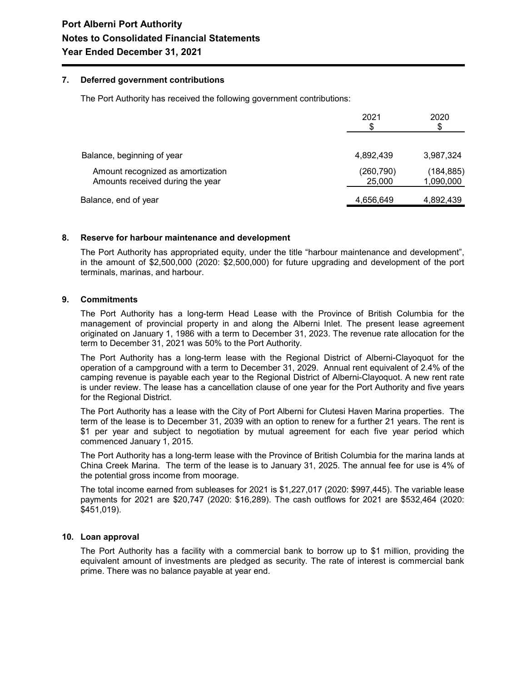## 7. Deferred government contributions

The Port Authority has received the following government contributions:

|                                                                       | 2021                 | 2020                    |
|-----------------------------------------------------------------------|----------------------|-------------------------|
| Balance, beginning of year                                            | 4,892,439            | 3,987,324               |
| Amount recognized as amortization<br>Amounts received during the year | (260, 790)<br>25,000 | (184, 885)<br>1,090,000 |
| Balance, end of year                                                  | 4,656,649            | 4,892,439               |

### 8. Reserve for harbour maintenance and development

The Port Authority has appropriated equity, under the title "harbour maintenance and development", in the amount of \$2,500,000 (2020: \$2,500,000) for future upgrading and development of the port terminals, marinas, and harbour.

### 9. Commitments

The Port Authority has a long-term Head Lease with the Province of British Columbia for the management of provincial property in and along the Alberni Inlet. The present lease agreement originated on January 1, 1986 with a term to December 31, 2023. The revenue rate allocation for the term to December 31, 2021 was 50% to the Port Authority.

The Port Authority has a long-term lease with the Regional District of Alberni-Clayoquot for the operation of a campground with a term to December 31, 2029. Annual rent equivalent of 2.4% of the camping revenue is payable each year to the Regional District of Alberni-Clayoquot. A new rent rate is under review. The lease has a cancellation clause of one year for the Port Authority and five years for the Regional District.

The Port Authority has a lease with the City of Port Alberni for Clutesi Haven Marina properties. The term of the lease is to December 31, 2039 with an option to renew for a further 21 years. The rent is \$1 per year and subject to negotiation by mutual agreement for each five year period which commenced January 1, 2015.

The Port Authority has a long-term lease with the Province of British Columbia for the marina lands at China Creek Marina. The term of the lease is to January 31, 2025. The annual fee for use is 4% of the potential gross income from moorage.

The total income earned from subleases for 2021 is \$1,227,017 (2020: \$997,445). The variable lease payments for 2021 are \$20,747 (2020: \$16,289). The cash outflows for 2021 are \$532,464 (2020: \$451,019).

### 10. Loan approval

The Port Authority has a facility with a commercial bank to borrow up to \$1 million, providing the equivalent amount of investments are pledged as security. The rate of interest is commercial bank prime. There was no balance payable at year end.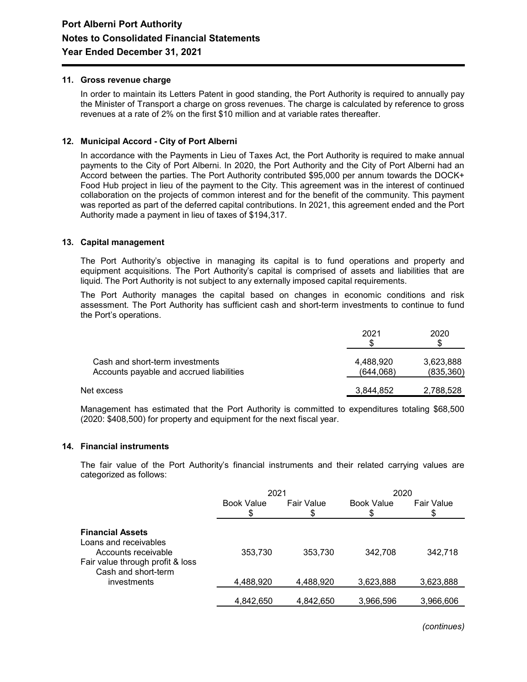## 11. Gross revenue charge

In order to maintain its Letters Patent in good standing, the Port Authority is required to annually pay the Minister of Transport a charge on gross revenues. The charge is calculated by reference to gross revenues at a rate of 2% on the first \$10 million and at variable rates thereafter.

#### 12. Municipal Accord - City of Port Alberni

In accordance with the Payments in Lieu of Taxes Act, the Port Authority is required to make annual payments to the City of Port Alberni. In 2020, the Port Authority and the City of Port Alberni had an Accord between the parties. The Port Authority contributed \$95,000 per annum towards the DOCK+ Food Hub project in lieu of the payment to the City. This agreement was in the interest of continued collaboration on the projects of common interest and for the benefit of the community. This payment was reported as part of the deferred capital contributions. In 2021, this agreement ended and the Port Authority made a payment in lieu of taxes of \$194,317.

#### 13. Capital management

The Port Authority's objective in managing its capital is to fund operations and property and equipment acquisitions. The Port Authority's capital is comprised of assets and liabilities that are liquid. The Port Authority is not subject to any externally imposed capital requirements.

The Port Authority manages the capital based on changes in economic conditions and risk assessment. The Port Authority has sufficient cash and short-term investments to continue to fund the Port's operations.

|                                                                             | 2021                   | 2020                    |
|-----------------------------------------------------------------------------|------------------------|-------------------------|
| Cash and short-term investments<br>Accounts payable and accrued liabilities | 4,488,920<br>(644.068) | 3,623,888<br>(835, 360) |
| Net excess                                                                  | 3,844,852              | 2,788,528               |

Management has estimated that the Port Authority is committed to expenditures totaling \$68,500 (2020: \$408,500) for property and equipment for the next fiscal year.

#### 14. Financial instruments

The fair value of the Port Authority's financial instruments and their related carrying values are categorized as follows:

|                                                                                                                                    | 2021                   |            | 2020                    |                 |
|------------------------------------------------------------------------------------------------------------------------------------|------------------------|------------|-------------------------|-----------------|
|                                                                                                                                    | <b>Book Value</b><br>S | Fair Value | <b>Book Value</b><br>ß. | Fair Value<br>S |
| <b>Financial Assets</b><br>Loans and receivables<br>Accounts receivable<br>Fair value through profit & loss<br>Cash and short-term | 353,730                | 353,730    | 342,708                 | 342,718         |
| investments                                                                                                                        | 4,488,920              | 4,488,920  | 3,623,888               | 3,623,888       |
|                                                                                                                                    | 4,842,650              | 4,842,650  | 3,966,596               | 3,966,606       |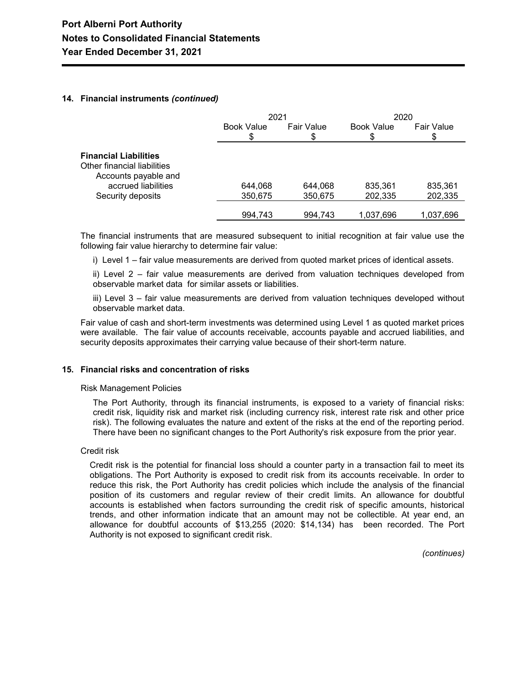## 14. Financial instruments (continued)

|                                                                                                                                 |                    | 2021               |                    | 2020               |
|---------------------------------------------------------------------------------------------------------------------------------|--------------------|--------------------|--------------------|--------------------|
|                                                                                                                                 | <b>Book Value</b>  | Fair Value         | <b>Book Value</b>  | <b>Fair Value</b>  |
| <b>Financial Liabilities</b><br>Other financial liabilities<br>Accounts payable and<br>accrued liabilities<br>Security deposits | 644,068<br>350,675 | 644.068<br>350,675 | 835,361<br>202,335 | 835,361<br>202,335 |
|                                                                                                                                 | 994,743            | 994,743            | 1,037,696          | 1,037,696          |

The financial instruments that are measured subsequent to initial recognition at fair value use the following fair value hierarchy to determine fair value:

i) Level 1 – fair value measurements are derived from quoted market prices of identical assets.

ii) Level 2 – fair value measurements are derived from valuation techniques developed from observable market data for similar assets or liabilities.

iii) Level 3 – fair value measurements are derived from valuation techniques developed without observable market data.

Fair value of cash and short-term investments was determined using Level 1 as quoted market prices were available. The fair value of accounts receivable, accounts payable and accrued liabilities, and security deposits approximates their carrying value because of their short-term nature.

## 15. Financial risks and concentration of risks

### Risk Management Policies

The Port Authority, through its financial instruments, is exposed to a variety of financial risks: credit risk, liquidity risk and market risk (including currency risk, interest rate risk and other price risk). The following evaluates the nature and extent of the risks at the end of the reporting period. There have been no significant changes to the Port Authority's risk exposure from the prior year.

### Credit risk

Credit risk is the potential for financial loss should a counter party in a transaction fail to meet its obligations. The Port Authority is exposed to credit risk from its accounts receivable. In order to reduce this risk, the Port Authority has credit policies which include the analysis of the financial position of its customers and regular review of their credit limits. An allowance for doubtful accounts is established when factors surrounding the credit risk of specific amounts, historical trends, and other information indicate that an amount may not be collectible. At year end, an allowance for doubtful accounts of \$13,255 (2020: \$14,134) has been recorded. The Port Authority is not exposed to significant credit risk.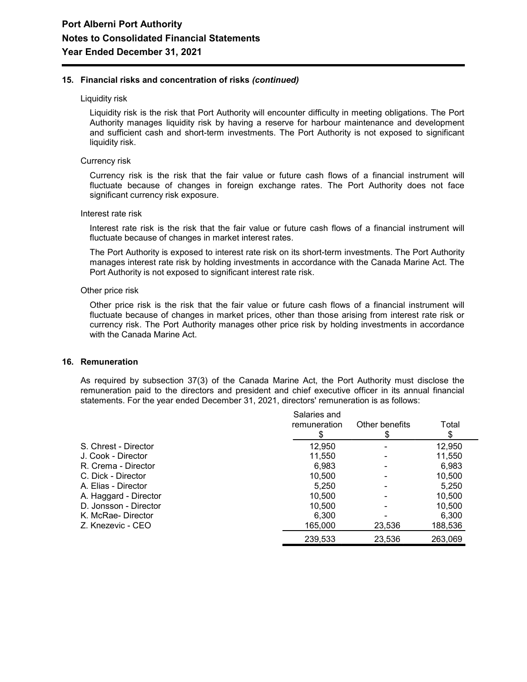### 15. Financial risks and concentration of risks (continued)

#### Liquidity risk

Liquidity risk is the risk that Port Authority will encounter difficulty in meeting obligations. The Port Authority manages liquidity risk by having a reserve for harbour maintenance and development and sufficient cash and short-term investments. The Port Authority is not exposed to significant liquidity risk.

#### Currency risk

Currency risk is the risk that the fair value or future cash flows of a financial instrument will fluctuate because of changes in foreign exchange rates. The Port Authority does not face significant currency risk exposure.

#### Interest rate risk

Interest rate risk is the risk that the fair value or future cash flows of a financial instrument will fluctuate because of changes in market interest rates.

The Port Authority is exposed to interest rate risk on its short-term investments. The Port Authority manages interest rate risk by holding investments in accordance with the Canada Marine Act. The Port Authority is not exposed to significant interest rate risk.

#### Other price risk

Other price risk is the risk that the fair value or future cash flows of a financial instrument will fluctuate because of changes in market prices, other than those arising from interest rate risk or currency risk. The Port Authority manages other price risk by holding investments in accordance with the Canada Marine Act.

#### 16. Remuneration

As required by subsection 37(3) of the Canada Marine Act, the Port Authority must disclose the remuneration paid to the directors and president and chief executive officer in its annual financial statements. For the year ended December 31, 2021, directors' remuneration is as follows:

|                       | Salaries and<br>remuneration | Other benefits<br>\$ | Total<br>\$ |
|-----------------------|------------------------------|----------------------|-------------|
| S. Chrest - Director  | 12,950                       |                      | 12,950      |
| J. Cook - Director    | 11,550                       |                      | 11,550      |
| R. Crema - Director   | 6,983                        |                      | 6,983       |
| C. Dick - Director    | 10,500                       |                      | 10,500      |
| A. Elias - Director   | 5,250                        |                      | 5,250       |
| A. Haggard - Director | 10,500                       |                      | 10,500      |
| D. Jonsson - Director | 10.500                       |                      | 10.500      |
| K. McRae-Director     | 6,300                        |                      | 6,300       |
| Z. Knezevic - CEO     | 165,000                      | 23,536               | 188,536     |
|                       | 239,533                      | 23,536               | 263,069     |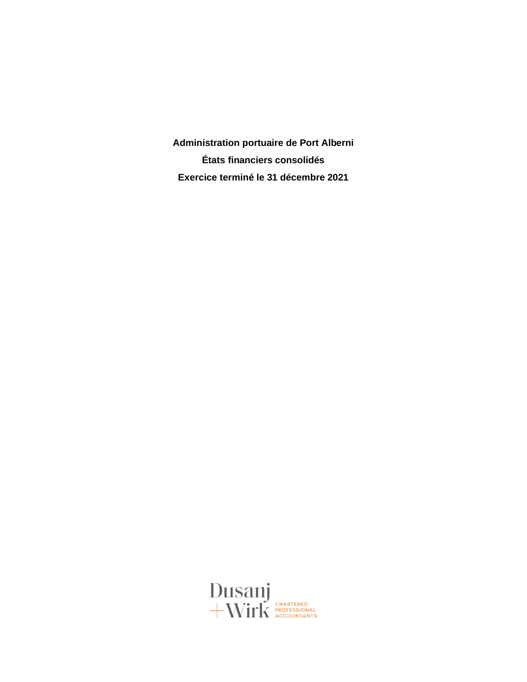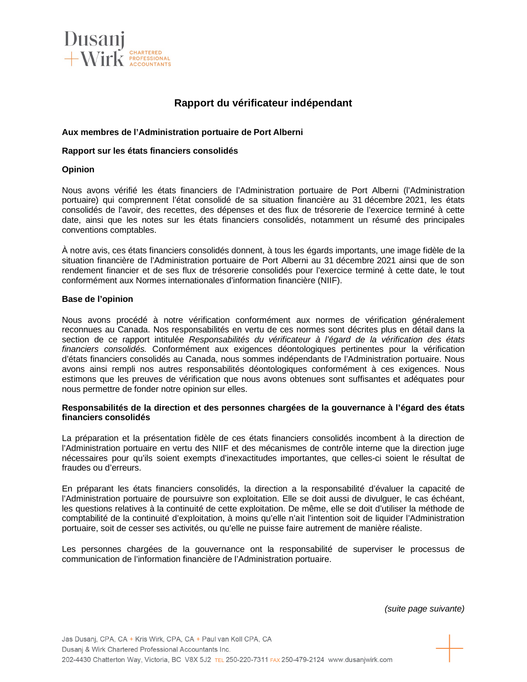

## **Rapport du vérificateur indépendant**

## **Aux membres de l'Administration portuaire de Port Alberni**

#### **Rapport sur les états financiers consolidés**

#### **Opinion**

Nous avons vérifié les états financiers de l'Administration portuaire de Port Alberni (l'Administration portuaire) qui comprennent l'état consolidé de sa situation financière au 31 décembre 2021, les états consolidés de l'avoir, des recettes, des dépenses et des flux de trésorerie de l'exercice terminé à cette date, ainsi que les notes sur les états financiers consolidés, notamment un résumé des principales conventions comptables.

À notre avis, ces états financiers consolidés donnent, à tous les égards importants, une image fidèle de la situation financière de l'Administration portuaire de Port Alberni au 31 décembre 2021 ainsi que de son rendement financier et de ses flux de trésorerie consolidés pour l'exercice terminé à cette date, le tout conformément aux Normes internationales d'information financière (NIIF).

#### **Base de l'opinion**

Nous avons procédé à notre vérification conformément aux normes de vérification généralement reconnues au Canada. Nos responsabilités en vertu de ces normes sont décrites plus en détail dans la section de ce rapport intitulée *Responsabilités du vérificateur à l'égard de la vérification des états financiers consolidés.* Conformément aux exigences déontologiques pertinentes pour la vérification d'états financiers consolidés au Canada, nous sommes indépendants de l'Administration portuaire. Nous avons ainsi rempli nos autres responsabilités déontologiques conformément à ces exigences. Nous estimons que les preuves de vérification que nous avons obtenues sont suffisantes et adéquates pour nous permettre de fonder notre opinion sur elles.

### **Responsabilités de la direction et des personnes chargées de la gouvernance à l'égard des états financiers consolidés**

La préparation et la présentation fidèle de ces états financiers consolidés incombent à la direction de l'Administration portuaire en vertu des NIIF et des mécanismes de contrôle interne que la direction juge nécessaires pour qu'ils soient exempts d'inexactitudes importantes, que celles-ci soient le résultat de fraudes ou d'erreurs.

En préparant les états financiers consolidés, la direction a la responsabilité d'évaluer la capacité de l'Administration portuaire de poursuivre son exploitation. Elle se doit aussi de divulguer, le cas échéant, les questions relatives à la continuité de cette exploitation. De même, elle se doit d'utiliser la méthode de comptabilité de la continuité d'exploitation, à moins qu'elle n'ait l'intention soit de liquider l'Administration portuaire, soit de cesser ses activités, ou qu'elle ne puisse faire autrement de manière réaliste.

Les personnes chargées de la gouvernance ont la responsabilité de superviser le processus de communication de l'information financière de l'Administration portuaire.

*(suite page suivante)*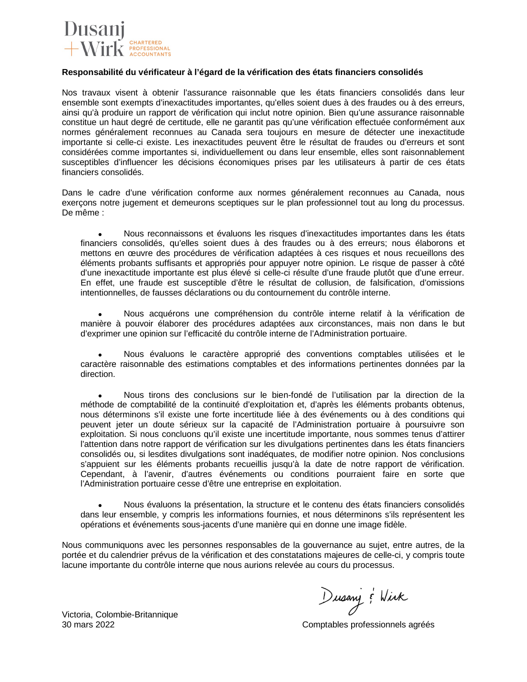

## **Responsabilité du vérificateur à l'égard de la vérification des états financiers consolidés**

Nos travaux visent à obtenir l'assurance raisonnable que les états financiers consolidés dans leur ensemble sont exempts d'inexactitudes importantes, qu'elles soient dues à des fraudes ou à des erreurs, ainsi qu'à produire un rapport de vérification qui inclut notre opinion. Bien qu'une assurance raisonnable constitue un haut degré de certitude, elle ne garantit pas qu'une vérification effectuée conformément aux normes généralement reconnues au Canada sera toujours en mesure de détecter une inexactitude importante si celle-ci existe. Les inexactitudes peuvent être le résultat de fraudes ou d'erreurs et sont considérées comme importantes si, individuellement ou dans leur ensemble, elles sont raisonnablement susceptibles d'influencer les décisions économiques prises par les utilisateurs à partir de ces états financiers consolidés.

Dans le cadre d'une vérification conforme aux normes généralement reconnues au Canada, nous exerçons notre jugement et demeurons sceptiques sur le plan professionnel tout au long du processus. De même :

 Nous reconnaissons et évaluons les risques d'inexactitudes importantes dans les états financiers consolidés, qu'elles soient dues à des fraudes ou à des erreurs; nous élaborons et mettons en œuvre des procédures de vérification adaptées à ces risques et nous recueillons des éléments probants suffisants et appropriés pour appuyer notre opinion. Le risque de passer à côté d'une inexactitude importante est plus élevé si celle-ci résulte d'une fraude plutôt que d'une erreur. En effet, une fraude est susceptible d'être le résultat de collusion, de falsification, d'omissions intentionnelles, de fausses déclarations ou du contournement du contrôle interne.

 Nous acquérons une compréhension du contrôle interne relatif à la vérification de manière à pouvoir élaborer des procédures adaptées aux circonstances, mais non dans le but d'exprimer une opinion sur l'efficacité du contrôle interne de l'Administration portuaire.

 Nous évaluons le caractère approprié des conventions comptables utilisées et le caractère raisonnable des estimations comptables et des informations pertinentes données par la direction.

 Nous tirons des conclusions sur le bien-fondé de l'utilisation par la direction de la méthode de comptabilité de la continuité d'exploitation et, d'après les éléments probants obtenus, nous déterminons s'il existe une forte incertitude liée à des événements ou à des conditions qui peuvent jeter un doute sérieux sur la capacité de l'Administration portuaire à poursuivre son exploitation. Si nous concluons qu'il existe une incertitude importante, nous sommes tenus d'attirer l'attention dans notre rapport de vérification sur les divulgations pertinentes dans les états financiers consolidés ou, si lesdites divulgations sont inadéquates, de modifier notre opinion. Nos conclusions s'appuient sur les éléments probants recueillis jusqu'à la date de notre rapport de vérification. Cependant, à l'avenir, d'autres événements ou conditions pourraient faire en sorte que l'Administration portuaire cesse d'être une entreprise en exploitation.

 Nous évaluons la présentation, la structure et le contenu des états financiers consolidés dans leur ensemble, y compris les informations fournies, et nous déterminons s'ils représentent les opérations et événements sous-jacents d'une manière qui en donne une image fidèle.

Nous communiquons avec les personnes responsables de la gouvernance au sujet, entre autres, de la portée et du calendrier prévus de la vérification et des constatations majeures de celle-ci, y compris toute lacune importante du contrôle interne que nous aurions relevée au cours du processus.

Dusanj & Wirk

30 mars 2022 Comptables professionnels agréés

Victoria, Colombie-Britannique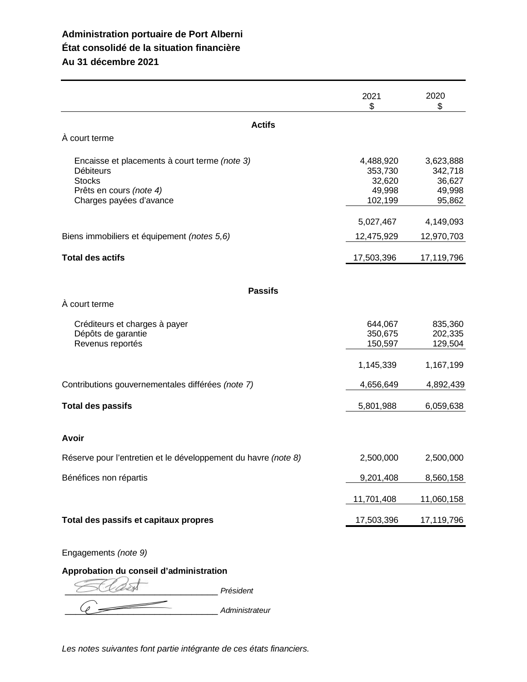## **Administration portuaire de Port Alberni État consolidé de la situation financière Au 31 décembre 2021**

|                                                                                                                                          | 2021<br>\$                                          | 2020<br>\$                                         |
|------------------------------------------------------------------------------------------------------------------------------------------|-----------------------------------------------------|----------------------------------------------------|
| <b>Actifs</b>                                                                                                                            |                                                     |                                                    |
| À court terme                                                                                                                            |                                                     |                                                    |
| Encaisse et placements à court terme (note 3)<br><b>Débiteurs</b><br><b>Stocks</b><br>Prêts en cours (note 4)<br>Charges payées d'avance | 4,488,920<br>353,730<br>32,620<br>49,998<br>102,199 | 3,623,888<br>342,718<br>36,627<br>49,998<br>95,862 |
|                                                                                                                                          | 5,027,467                                           | 4,149,093                                          |
| Biens immobiliers et équipement (notes 5,6)                                                                                              | 12,475,929                                          | 12,970,703                                         |
| <b>Total des actifs</b>                                                                                                                  | 17,503,396                                          | 17,119,796                                         |
| <b>Passifs</b>                                                                                                                           |                                                     |                                                    |
| À court terme                                                                                                                            |                                                     |                                                    |
| Créditeurs et charges à payer<br>Dépôts de garantie<br>Revenus reportés                                                                  | 644,067<br>350,675<br>150,597                       | 835,360<br>202,335<br>129,504                      |
|                                                                                                                                          | 1,145,339                                           | 1,167,199                                          |
| Contributions gouvernementales différées (note 7)                                                                                        | 4,656,649                                           | 4,892,439                                          |
| <b>Total des passifs</b>                                                                                                                 | 5,801,988                                           | 6,059,638                                          |
| Avoir                                                                                                                                    |                                                     |                                                    |
| Réserve pour l'entretien et le développement du havre (note 8)                                                                           | 2,500,000                                           | 2,500,000                                          |
| Bénéfices non répartis                                                                                                                   | 9,201,408                                           | 8,560,158                                          |
|                                                                                                                                          | 11,701,408                                          | 11,060,158                                         |
| Total des passifs et capitaux propres                                                                                                    | 17,503,396                                          | 17,119,796                                         |

Engagements *(note 9)*

**Approbation du conseil d'administration**

\_\_\_\_\_\_\_\_\_\_\_\_\_\_\_\_\_\_\_\_\_\_\_\_\_\_\_\_\_ *Président* \_\_\_\_\_\_\_\_\_\_\_\_\_\_\_\_\_\_\_\_\_\_\_\_\_\_\_\_\_ *Administrateur*

*Les notes suivantes font partie intégrante de ces états financiers.*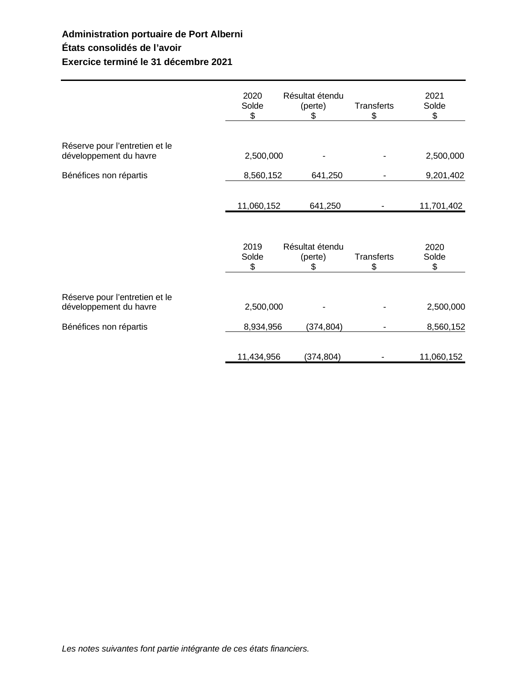## **Administration portuaire de Port Alberni États consolidés de l'avoir Exercice terminé le 31 décembre 2021**

|                                                          | 2020<br>Solde<br>\$ | Résultat étendu<br>(perte)<br>\$ | <b>Transferts</b><br>\$ | 2021<br>Solde<br>\$ |
|----------------------------------------------------------|---------------------|----------------------------------|-------------------------|---------------------|
| Réserve pour l'entretien et le<br>développement du havre | 2,500,000           |                                  |                         | 2,500,000           |
| Bénéfices non répartis                                   | 8,560,152           | 641,250                          |                         | 9,201,402           |
|                                                          | 11,060,152          | 641,250                          |                         | 11,701,402          |
|                                                          | 2019<br>Solde<br>\$ | Résultat étendu<br>(perte)<br>\$ | Transferts<br>\$        | 2020<br>Solde<br>\$ |
| Réserve pour l'entretien et le<br>développement du havre | 2,500,000           |                                  |                         | 2,500,000           |
| Bénéfices non répartis                                   | 8,934,956           | (374, 804)                       |                         | 8,560,152           |
|                                                          | 11,434,956          | (374, 804)                       |                         | 11,060,152          |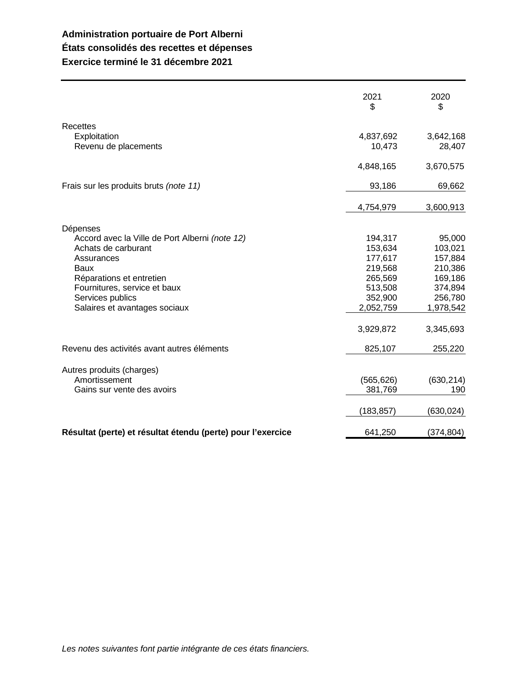## **Administration portuaire de Port Alberni États consolidés des recettes et dépenses Exercice terminé le 31 décembre 2021**

|                                                             | 2021<br>\$ | 2020<br>\$ |
|-------------------------------------------------------------|------------|------------|
| Recettes                                                    |            |            |
| Exploitation                                                | 4,837,692  | 3,642,168  |
| Revenu de placements                                        | 10,473     | 28,407     |
|                                                             | 4,848,165  | 3,670,575  |
| Frais sur les produits bruts (note 11)                      | 93,186     | 69,662     |
|                                                             | 4,754,979  | 3,600,913  |
|                                                             |            |            |
| Dépenses<br>Accord avec la Ville de Port Alberni (note 12)  | 194,317    | 95,000     |
| Achats de carburant                                         | 153,634    | 103,021    |
| Assurances                                                  | 177,617    | 157,884    |
| Baux                                                        | 219,568    | 210,386    |
| Réparations et entretien                                    | 265,569    | 169,186    |
| Fournitures, service et baux                                | 513,508    | 374,894    |
| Services publics                                            | 352,900    | 256,780    |
| Salaires et avantages sociaux                               | 2,052,759  | 1,978,542  |
|                                                             | 3,929,872  | 3,345,693  |
| Revenu des activités avant autres éléments                  | 825,107    | 255,220    |
| Autres produits (charges)                                   |            |            |
| Amortissement                                               | (565, 626) | (630, 214) |
| Gains sur vente des avoirs                                  | 381,769    | 190        |
|                                                             | (183, 857) | (630, 024) |
| Résultat (perte) et résultat étendu (perte) pour l'exercice | 641,250    | (374, 804) |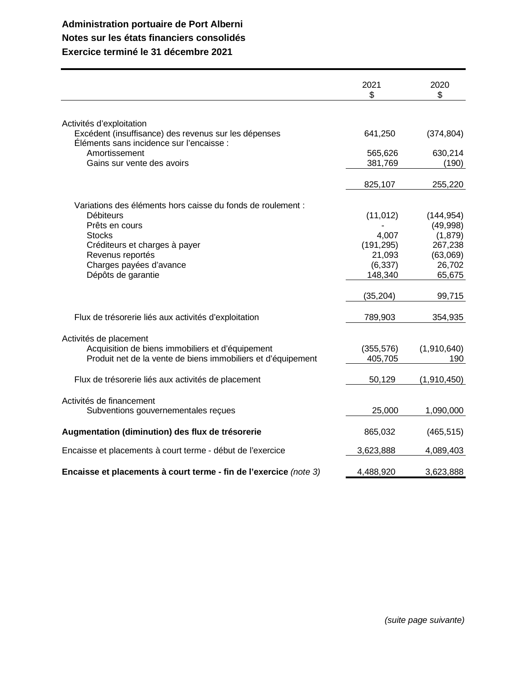|                                                                                                                              | 2021<br>\$ | 2020<br>\$  |
|------------------------------------------------------------------------------------------------------------------------------|------------|-------------|
|                                                                                                                              |            |             |
| Activités d'exploitation<br>Excédent (insuffisance) des revenus sur les dépenses<br>Éléments sans incidence sur l'encaisse : | 641,250    | (374, 804)  |
| Amortissement                                                                                                                | 565,626    | 630,214     |
| Gains sur vente des avoirs                                                                                                   | 381,769    | (190)       |
|                                                                                                                              | 825,107    | 255,220     |
| Variations des éléments hors caisse du fonds de roulement :                                                                  |            |             |
| <b>Débiteurs</b>                                                                                                             | (11, 012)  | (144, 954)  |
| Prêts en cours                                                                                                               |            | (49,998)    |
| <b>Stocks</b>                                                                                                                | 4,007      | (1,879)     |
| Créditeurs et charges à payer                                                                                                | (191, 295) | 267,238     |
| Revenus reportés                                                                                                             | 21,093     | (63,069)    |
| Charges payées d'avance                                                                                                      | (6, 337)   | 26,702      |
| Dépôts de garantie                                                                                                           | 148,340    | 65,675      |
|                                                                                                                              | (35, 204)  | 99,715      |
| Flux de trésorerie liés aux activités d'exploitation                                                                         | 789,903    | 354,935     |
|                                                                                                                              |            |             |
| Activités de placement                                                                                                       |            |             |
| Acquisition de biens immobiliers et d'équipement                                                                             | (355, 576) | (1,910,640) |
| Produit net de la vente de biens immobiliers et d'équipement                                                                 | 405,705    | 190         |
| Flux de trésorerie liés aux activités de placement                                                                           | 50,129     | (1,910,450) |
|                                                                                                                              |            |             |
| Activités de financement<br>Subventions gouvernementales reçues                                                              | 25,000     | 1,090,000   |
|                                                                                                                              |            |             |
| Augmentation (diminution) des flux de trésorerie                                                                             | 865,032    | (465, 515)  |
| Encaisse et placements à court terme - début de l'exercice                                                                   | 3,623,888  | 4,089,403   |
| Encaisse et placements à court terme - fin de l'exercice (note 3)                                                            | 4,488,920  | 3,623,888   |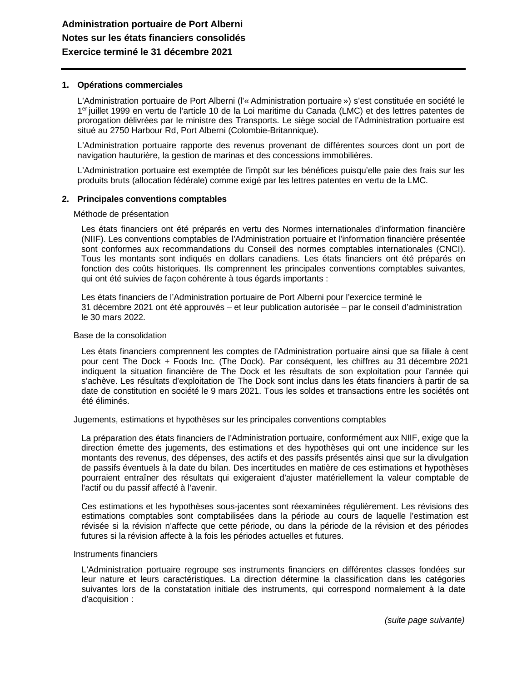#### **1. Opérations commerciales**

L'Administration portuaire de Port Alberni (l'« Administration portuaire ») s'est constituée en société le 1<sup>er</sup> juillet 1999 en vertu de l'article 10 de la Loi maritime du Canada (LMC) et des lettres patentes de prorogation délivrées par le ministre des Transports. Le siège social de l'Administration portuaire est situé au 2750 Harbour Rd, Port Alberni (Colombie-Britannique).

L'Administration portuaire rapporte des revenus provenant de différentes sources dont un port de navigation hauturière, la gestion de marinas et des concessions immobilières.

L'Administration portuaire est exemptée de l'impôt sur les bénéfices puisqu'elle paie des frais sur les produits bruts (allocation fédérale) comme exigé par les lettres patentes en vertu de la LMC.

### **2. Principales conventions comptables**

Méthode de présentation

Les états financiers ont été préparés en vertu des Normes internationales d'information financière (NIIF). Les conventions comptables de l'Administration portuaire et l'information financière présentée sont conformes aux recommandations du Conseil des normes comptables internationales (CNCI). Tous les montants sont indiqués en dollars canadiens. Les états financiers ont été préparés en fonction des coûts historiques. Ils comprennent les principales conventions comptables suivantes, qui ont été suivies de façon cohérente à tous égards importants :

Les états financiers de l'Administration portuaire de Port Alberni pour l'exercice terminé le 31 décembre 2021 ont été approuvés – et leur publication autorisée – par le conseil d'administration le 30 mars 2022.

Base de la consolidation

Les états financiers comprennent les comptes de l'Administration portuaire ainsi que sa filiale à cent pour cent The Dock + Foods Inc. (The Dock). Par conséquent, les chiffres au 31 décembre 2021 indiquent la situation financière de The Dock et les résultats de son exploitation pour l'année qui s'achève. Les résultats d'exploitation de The Dock sont inclus dans les états financiers à partir de sa date de constitution en société le 9 mars 2021. Tous les soldes et transactions entre les sociétés ont été éliminés.

Jugements, estimations et hypothèses sur les principales conventions comptables

La préparation des états financiers de l'Administration portuaire, conformément aux NIIF, exige que la direction émette des jugements, des estimations et des hypothèses qui ont une incidence sur les montants des revenus, des dépenses, des actifs et des passifs présentés ainsi que sur la divulgation de passifs éventuels à la date du bilan. Des incertitudes en matière de ces estimations et hypothèses pourraient entraîner des résultats qui exigeraient d'ajuster matériellement la valeur comptable de l'actif ou du passif affecté à l'avenir.

Ces estimations et les hypothèses sous-jacentes sont réexaminées régulièrement. Les révisions des estimations comptables sont comptabilisées dans la période au cours de laquelle l'estimation est révisée si la révision n'affecte que cette période, ou dans la période de la révision et des périodes futures si la révision affecte à la fois les périodes actuelles et futures.

#### Instruments financiers

L'Administration portuaire regroupe ses instruments financiers en différentes classes fondées sur leur nature et leurs caractéristiques. La direction détermine la classification dans les catégories suivantes lors de la constatation initiale des instruments, qui correspond normalement à la date d'acquisition :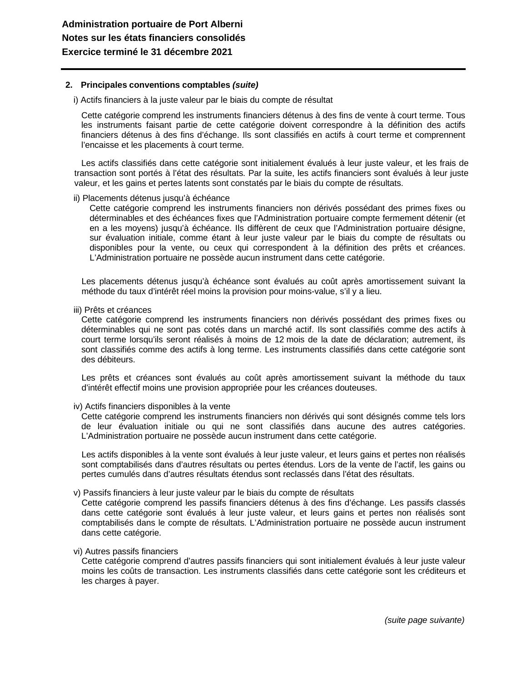i) Actifs financiers à la juste valeur par le biais du compte de résultat

Cette catégorie comprend les instruments financiers détenus à des fins de vente à court terme. Tous les instruments faisant partie de cette catégorie doivent correspondre à la définition des actifs financiers détenus à des fins d'échange. Ils sont classifiés en actifs à court terme et comprennent l'encaisse et les placements à court terme.

Les actifs classifiés dans cette catégorie sont initialement évalués à leur juste valeur, et les frais de transaction sont portés à l'état des résultats. Par la suite, les actifs financiers sont évalués à leur juste valeur, et les gains et pertes latents sont constatés par le biais du compte de résultats.

#### ii) Placements détenus jusqu'à échéance

Cette catégorie comprend les instruments financiers non dérivés possédant des primes fixes ou déterminables et des échéances fixes que l'Administration portuaire compte fermement détenir (et en a les moyens) jusqu'à échéance. Ils diffèrent de ceux que l'Administration portuaire désigne, sur évaluation initiale, comme étant à leur juste valeur par le biais du compte de résultats ou disponibles pour la vente, ou ceux qui correspondent à la définition des prêts et créances. L'Administration portuaire ne possède aucun instrument dans cette catégorie.

Les placements détenus jusqu'à échéance sont évalués au coût après amortissement suivant la méthode du taux d'intérêt réel moins la provision pour moins-value, s'il y a lieu.

#### iii) Prêts et créances

Cette catégorie comprend les instruments financiers non dérivés possédant des primes fixes ou déterminables qui ne sont pas cotés dans un marché actif. Ils sont classifiés comme des actifs à court terme lorsqu'ils seront réalisés à moins de 12 mois de la date de déclaration; autrement, ils sont classifiés comme des actifs à long terme. Les instruments classifiés dans cette catégorie sont des débiteurs.

Les prêts et créances sont évalués au coût après amortissement suivant la méthode du taux d'intérêt effectif moins une provision appropriée pour les créances douteuses.

#### iv) Actifs financiers disponibles à la vente

Cette catégorie comprend les instruments financiers non dérivés qui sont désignés comme tels lors de leur évaluation initiale ou qui ne sont classifiés dans aucune des autres catégories. L'Administration portuaire ne possède aucun instrument dans cette catégorie.

Les actifs disponibles à la vente sont évalués à leur juste valeur, et leurs gains et pertes non réalisés sont comptabilisés dans d'autres résultats ou pertes étendus. Lors de la vente de l'actif, les gains ou pertes cumulés dans d'autres résultats étendus sont reclassés dans l'état des résultats.

#### v) Passifs financiers à leur juste valeur par le biais du compte de résultats

Cette catégorie comprend les passifs financiers détenus à des fins d'échange. Les passifs classés dans cette catégorie sont évalués à leur juste valeur, et leurs gains et pertes non réalisés sont comptabilisés dans le compte de résultats. L'Administration portuaire ne possède aucun instrument dans cette catégorie.

#### vi) Autres passifs financiers

Cette catégorie comprend d'autres passifs financiers qui sont initialement évalués à leur juste valeur moins les coûts de transaction. Les instruments classifiés dans cette catégorie sont les créditeurs et les charges à payer.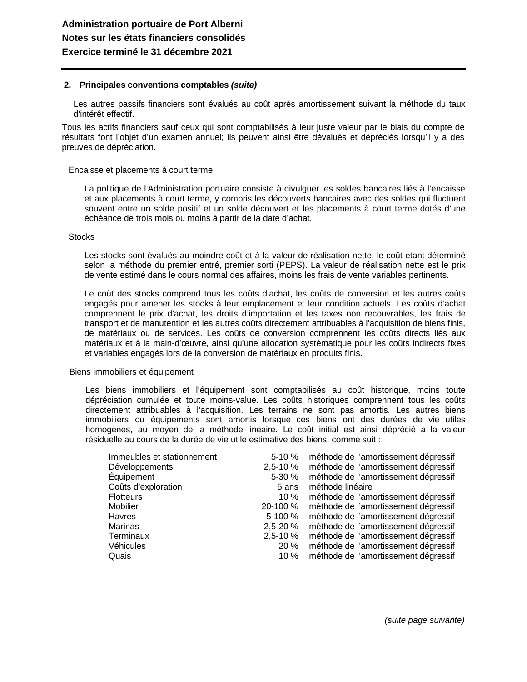Les autres passifs financiers sont évalués au coût après amortissement suivant la méthode du taux d'intérêt effectif.

Tous les actifs financiers sauf ceux qui sont comptabilisés à leur juste valeur par le biais du compte de résultats font l'objet d'un examen annuel; ils peuvent ainsi être dévalués et dépréciés lorsqu'il y a des preuves de dépréciation.

#### Encaisse et placements à court terme

La politique de l'Administration portuaire consiste à divulguer les soldes bancaires liés à l'encaisse et aux placements à court terme, y compris les découverts bancaires avec des soldes qui fluctuent souvent entre un solde positif et un solde découvert et les placements à court terme dotés d'une échéance de trois mois ou moins à partir de la date d'achat.

#### **Stocks**

Les stocks sont évalués au moindre coût et à la valeur de réalisation nette, le coût étant déterminé selon la méthode du premier entré, premier sorti (PEPS). La valeur de réalisation nette est le prix de vente estimé dans le cours normal des affaires, moins les frais de vente variables pertinents.

Le coût des stocks comprend tous les coûts d'achat, les coûts de conversion et les autres coûts engagés pour amener les stocks à leur emplacement et leur condition actuels. Les coûts d'achat comprennent le prix d'achat, les droits d'importation et les taxes non recouvrables, les frais de transport et de manutention et les autres coûts directement attribuables à l'acquisition de biens finis, de matériaux ou de services. Les coûts de conversion comprennent les coûts directs liés aux matériaux et à la main-d'œuvre, ainsi qu'une allocation systématique pour les coûts indirects fixes et variables engagés lors de la conversion de matériaux en produits finis.

#### Biens immobiliers et équipement

Les biens immobiliers et l'équipement sont comptabilisés au coût historique, moins toute dépréciation cumulée et toute moins-value. Les coûts historiques comprennent tous les coûts directement attribuables à l'acquisition. Les terrains ne sont pas amortis. Les autres biens immobiliers ou équipements sont amortis lorsque ces biens ont des durées de vie utiles homogènes, au moyen de la méthode linéaire. Le coût initial est ainsi déprécié à la valeur résiduelle au cours de la durée de vie utile estimative des biens, comme suit :

| Immeubles et stationnement | $5-10%$   | méthode de l'amortissement dégressif |
|----------------------------|-----------|--------------------------------------|
| Développements             | $2,5-10%$ | méthode de l'amortissement dégressif |
| Équipement                 | 5-30 %    | méthode de l'amortissement dégressif |
| Coûts d'exploration        | 5 ans     | méthode linéaire                     |
| <b>Flotteurs</b>           | $10 \%$   | méthode de l'amortissement dégressif |
| Mobilier                   | 20-100 %  | méthode de l'amortissement dégressif |
| <b>Havres</b>              | $5-100%$  | méthode de l'amortissement dégressif |
| Marinas                    | 2,5-20 %  | méthode de l'amortissement dégressif |
| Terminaux                  | $2,5-10%$ | méthode de l'amortissement dégressif |
| Véhicules                  | 20 %      | méthode de l'amortissement dégressif |
| Quais                      | $10 \%$   | méthode de l'amortissement dégressif |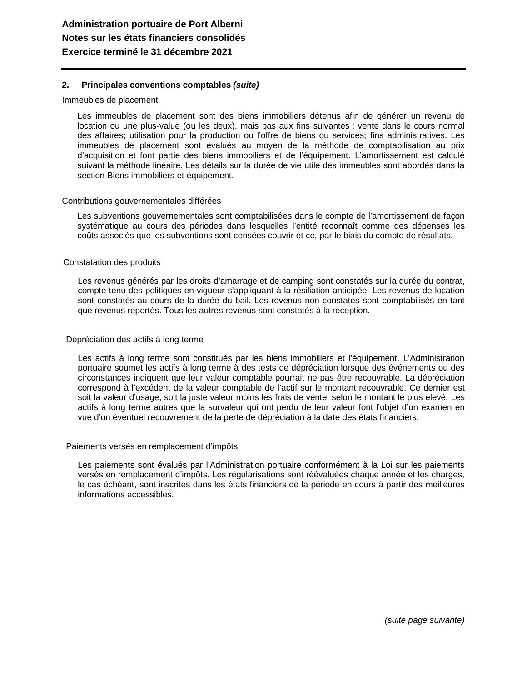#### Immeubles de placement

Les immeubles de placement sont des biens immobiliers détenus afin de générer un revenu de location ou une plus-value (ou les deux), mais pas aux fins suivantes : vente dans le cours normal des affaires; utilisation pour la production ou l'offre de biens ou services; fins administratives. Les immeubles de placement sont évalués au moyen de la méthode de comptabilisation au prix d'acquisition et font partie des biens immobiliers et de l'équipement. L'amortissement est calculé suivant la méthode linéaire. Les détails sur la durée de vie utile des immeubles sont abordés dans la section Biens immobiliers et équipement.

#### Contributions gouvernementales différées

Les subventions gouvernementales sont comptabilisées dans le compte de l'amortissement de façon systématique au cours des périodes dans lesquelles l'entité reconnaît comme des dépenses les coûts associés que les subventions sont censées couvrir et ce, par le biais du compte de résultats.

#### Constatation des produits

Les revenus générés par les droits d'amarrage et de camping sont constatés sur la durée du contrat, compte tenu des politiques en vigueur s'appliquant à la résiliation anticipée. Les revenus de location sont constatés au cours de la durée du bail. Les revenus non constatés sont comptabilisés en tant que revenus reportés. Tous les autres revenus sont constatés à la réception.

#### Dépréciation des actifs à long terme

Les actifs à long terme sont constitués par les biens immobiliers et l'équipement. L'Administration portuaire soumet les actifs à long terme à des tests de dépréciation lorsque des événements ou des circonstances indiquent que leur valeur comptable pourrait ne pas être recouvrable. La dépréciation correspond à l'excédent de la valeur comptable de l'actif sur le montant recouvrable. Ce dernier est soit la valeur d'usage, soit la juste valeur moins les frais de vente, selon le montant le plus élevé. Les actifs à long terme autres que la survaleur qui ont perdu de leur valeur font l'objet d'un examen en vue d'un éventuel recouvrement de la perte de dépréciation à la date des états financiers.

#### Paiements versés en remplacement d'impôts

Les paiements sont évalués par l'Administration portuaire conformément à la Loi sur les paiements versés en remplacement d'impôts. Les régularisations sont réévaluées chaque année et les charges, le cas échéant, sont inscrites dans les états financiers de la période en cours à partir des meilleures informations accessibles.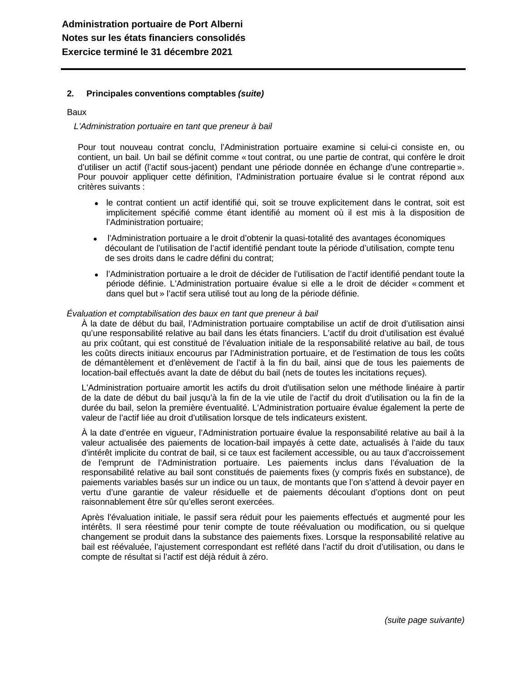### Baux

## *L'Administration portuaire en tant que preneur à bail*

Pour tout nouveau contrat conclu, l'Administration portuaire examine si celui-ci consiste en, ou contient, un bail. Un bail se définit comme « tout contrat, ou une partie de contrat, qui confère le droit d'utiliser un actif (l'actif sous-jacent) pendant une période donnée en échange d'une contrepartie ». Pour pouvoir appliquer cette définition, l'Administration portuaire évalue si le contrat répond aux critères suivants :

- le contrat contient un actif identifié qui, soit se trouve explicitement dans le contrat, soit est implicitement spécifié comme étant identifié au moment où il est mis à la disposition de l'Administration portuaire;
- l'Administration portuaire a le droit d'obtenir la quasi-totalité des avantages économiques découlant de l'utilisation de l'actif identifié pendant toute la période d'utilisation, compte tenu de ses droits dans le cadre défini du contrat;
- l'Administration portuaire a le droit de décider de l'utilisation de l'actif identifié pendant toute la période définie. L'Administration portuaire évalue si elle a le droit de décider « comment et dans quel but » l'actif sera utilisé tout au long de la période définie.

### *Évaluation et comptabilisation des baux en tant que preneur à bail*

À la date de début du bail, l'Administration portuaire comptabilise un actif de droit d'utilisation ainsi qu'une responsabilité relative au bail dans les états financiers. L'actif du droit d'utilisation est évalué au prix coûtant, qui est constitué de l'évaluation initiale de la responsabilité relative au bail, de tous les coûts directs initiaux encourus par l'Administration portuaire, et de l'estimation de tous les coûts de démantèlement et d'enlèvement de l'actif à la fin du bail, ainsi que de tous les paiements de location-bail effectués avant la date de début du bail (nets de toutes les incitations reçues).

L'Administration portuaire amortit les actifs du droit d'utilisation selon une méthode linéaire à partir de la date de début du bail jusqu'à la fin de la vie utile de l'actif du droit d'utilisation ou la fin de la durée du bail, selon la première éventualité. L'Administration portuaire évalue également la perte de valeur de l'actif liée au droit d'utilisation lorsque de tels indicateurs existent.

À la date d'entrée en vigueur, l'Administration portuaire évalue la responsabilité relative au bail à la valeur actualisée des paiements de location-bail impayés à cette date, actualisés à l'aide du taux d'intérêt implicite du contrat de bail, si ce taux est facilement accessible, ou au taux d'accroissement de l'emprunt de l'Administration portuaire. Les paiements inclus dans l'évaluation de la responsabilité relative au bail sont constitués de paiements fixes (y compris fixés en substance), de paiements variables basés sur un indice ou un taux, de montants que l'on s'attend à devoir payer en vertu d'une garantie de valeur résiduelle et de paiements découlant d'options dont on peut raisonnablement être sûr qu'elles seront exercées.

Après l'évaluation initiale, le passif sera réduit pour les paiements effectués et augmenté pour les intérêts. Il sera réestimé pour tenir compte de toute réévaluation ou modification, ou si quelque changement se produit dans la substance des paiements fixes. Lorsque la responsabilité relative au bail est réévaluée, l'ajustement correspondant est reflété dans l'actif du droit d'utilisation, ou dans le compte de résultat si l'actif est déjà réduit à zéro.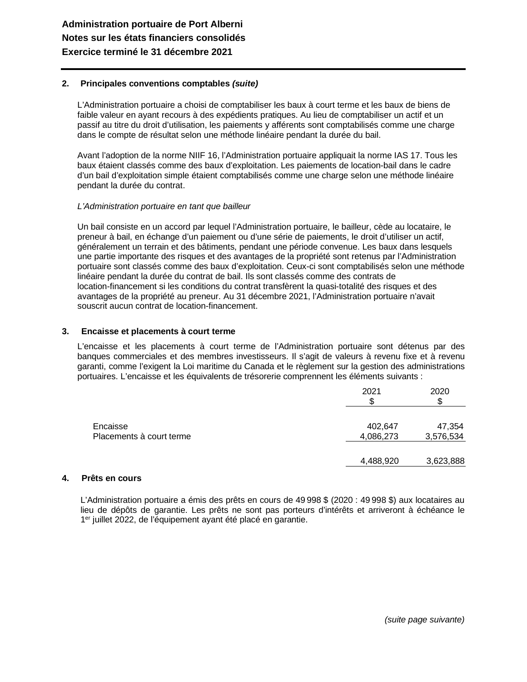L'Administration portuaire a choisi de comptabiliser les baux à court terme et les baux de biens de faible valeur en ayant recours à des expédients pratiques. Au lieu de comptabiliser un actif et un passif au titre du droit d'utilisation, les paiements y afférents sont comptabilisés comme une charge dans le compte de résultat selon une méthode linéaire pendant la durée du bail.

Avant l'adoption de la norme NIIF 16, l'Administration portuaire appliquait la norme IAS 17. Tous les baux étaient classés comme des baux d'exploitation. Les paiements de location-bail dans le cadre d'un bail d'exploitation simple étaient comptabilisés comme une charge selon une méthode linéaire pendant la durée du contrat.

## *L'Administration portuaire en tant que bailleur*

Un bail consiste en un accord par lequel l'Administration portuaire, le bailleur, cède au locataire, le preneur à bail, en échange d'un paiement ou d'une série de paiements, le droit d'utiliser un actif, généralement un terrain et des bâtiments, pendant une période convenue. Les baux dans lesquels une partie importante des risques et des avantages de la propriété sont retenus par l'Administration portuaire sont classés comme des baux d'exploitation. Ceux-ci sont comptabilisés selon une méthode linéaire pendant la durée du contrat de bail. Ils sont classés comme des contrats de location-financement si les conditions du contrat transfèrent la quasi-totalité des risques et des avantages de la propriété au preneur. Au 31 décembre 2021, l'Administration portuaire n'avait souscrit aucun contrat de location-financement.

## **3. Encaisse et placements à court terme**

L'encaisse et les placements à court terme de l'Administration portuaire sont détenus par des banques commerciales et des membres investisseurs. Il s'agit de valeurs à revenu fixe et à revenu garanti, comme l'exigent la Loi maritime du Canada et le règlement sur la gestion des administrations portuaires. L'encaisse et les équivalents de trésorerie comprennent les éléments suivants :

|                                      | 2021                 | 2020<br>\$          |
|--------------------------------------|----------------------|---------------------|
| Encaisse<br>Placements à court terme | 402,647<br>4,086,273 | 47,354<br>3,576,534 |
|                                      | 4,488,920            | 3,623,888           |

## **4. Prêts en cours**

L'Administration portuaire a émis des prêts en cours de 49 998 \$ (2020 : 49 998 \$) aux locataires au lieu de dépôts de garantie. Les prêts ne sont pas porteurs d'intérêts et arriveront à échéance le 1<sup>er</sup> juillet 2022, de l'équipement ayant été placé en garantie.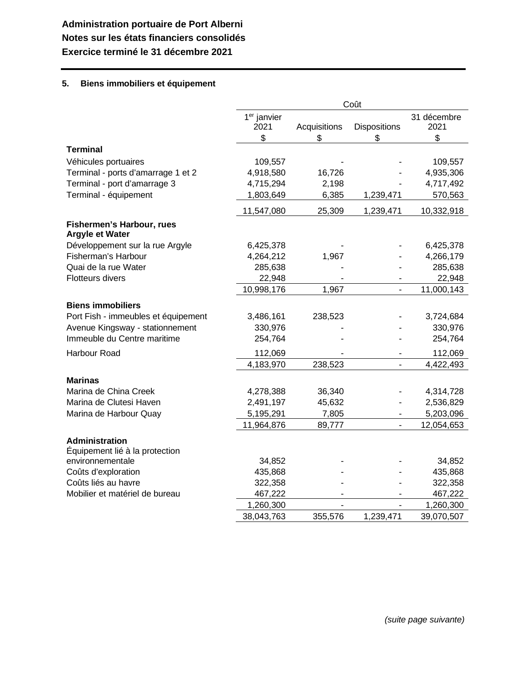## **5. Biens immobiliers et équipement**

|                                     | Coût                  |              |                     |                     |
|-------------------------------------|-----------------------|--------------|---------------------|---------------------|
|                                     | $1er$ janvier<br>2021 | Acquisitions | <b>Dispositions</b> | 31 décembre<br>2021 |
|                                     | \$                    | \$           | \$                  | \$                  |
| <b>Terminal</b>                     |                       |              |                     |                     |
| Véhicules portuaires                | 109,557               |              |                     | 109,557             |
| Terminal - ports d'amarrage 1 et 2  | 4,918,580             | 16,726       |                     | 4,935,306           |
| Terminal - port d'amarrage 3        | 4,715,294             | 2,198        |                     | 4,717,492           |
| Terminal - équipement               | 1,803,649             | 6,385        | 1,239,471           | 570,563             |
|                                     | 11,547,080            | 25,309       | 1,239,471           | 10,332,918          |
| Fishermen's Harbour, rues           |                       |              |                     |                     |
| <b>Argyle et Water</b>              |                       |              |                     |                     |
| Développement sur la rue Argyle     | 6,425,378             |              |                     | 6,425,378           |
| Fisherman's Harbour                 | 4,264,212             | 1,967        |                     | 4,266,179           |
| Quai de la rue Water                | 285,638               |              |                     | 285,638             |
| <b>Flotteurs divers</b>             | 22,948                |              |                     | 22,948              |
|                                     | 10,998,176            | 1,967        | ÷.                  | 11,000,143          |
| <b>Biens immobiliers</b>            |                       |              |                     |                     |
| Port Fish - immeubles et équipement | 3,486,161             | 238,523      |                     | 3,724,684           |
| Avenue Kingsway - stationnement     | 330,976               |              |                     | 330,976             |
| Immeuble du Centre maritime         | 254,764               |              |                     | 254,764             |
| Harbour Road                        | 112,069               |              |                     | 112,069             |
|                                     | 4,183,970             | 238,523      |                     | 4,422,493           |
| <b>Marinas</b>                      |                       |              |                     |                     |
| Marina de China Creek               | 4,278,388             | 36,340       |                     | 4,314,728           |
| Marina de Clutesi Haven             | 2,491,197             | 45,632       |                     | 2,536,829           |
| Marina de Harbour Quay              | 5,195,291             | 7,805        |                     | 5,203,096           |
|                                     | 11,964,876            | 89,777       | $\overline{a}$      | 12,054,653          |
| <b>Administration</b>               |                       |              |                     |                     |
| Équipement lié à la protection      |                       |              |                     |                     |
| environnementale                    | 34,852                |              |                     | 34,852              |
| Coûts d'exploration                 | 435,868               |              |                     | 435,868             |
| Coûts liés au havre                 | 322,358               |              |                     | 322,358             |
| Mobilier et matériel de bureau      | 467,222               |              |                     | 467,222             |
|                                     | 1,260,300             |              |                     | 1,260,300           |
|                                     | 38,043,763            | 355,576      | 1,239,471           | 39,070,507          |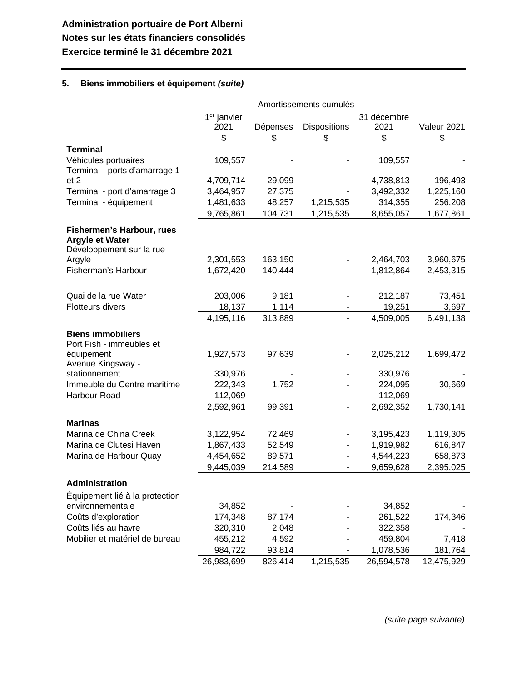## **5. Biens immobiliers et équipement** *(suite)*

|                                                                                 | Amortissements cumulés  |          |                          |             |             |
|---------------------------------------------------------------------------------|-------------------------|----------|--------------------------|-------------|-------------|
|                                                                                 | 1 <sup>er</sup> janvier |          |                          | 31 décembre |             |
|                                                                                 | 2021                    | Dépenses | <b>Dispositions</b>      | 2021        | Valeur 2021 |
|                                                                                 | \$                      | \$       | \$                       | \$          | \$          |
| <b>Terminal</b>                                                                 |                         |          |                          |             |             |
| Véhicules portuaires<br>Terminal - ports d'amarrage 1                           | 109,557                 |          |                          | 109,557     |             |
| et 2                                                                            | 4,709,714               | 29,099   |                          | 4,738,813   | 196,493     |
| Terminal - port d'amarrage 3                                                    | 3,464,957               | 27,375   |                          | 3,492,332   | 1,225,160   |
| Terminal - équipement                                                           | 1,481,633               | 48,257   | 1,215,535                | 314,355     | 256,208     |
|                                                                                 | 9,765,861               | 104,731  | 1,215,535                | 8,655,057   | 1,677,861   |
| Fishermen's Harbour, rues<br><b>Argyle et Water</b><br>Développement sur la rue |                         |          |                          |             |             |
| Argyle                                                                          | 2,301,553               | 163,150  |                          | 2,464,703   | 3,960,675   |
| Fisherman's Harbour                                                             | 1,672,420               | 140,444  |                          | 1,812,864   | 2,453,315   |
|                                                                                 |                         |          |                          |             |             |
| Quai de la rue Water                                                            | 203,006                 | 9,181    |                          | 212,187     | 73,451      |
| <b>Flotteurs divers</b>                                                         | 18,137                  | 1,114    |                          | 19,251      | 3,697       |
|                                                                                 | 4,195,116               | 313,889  | $\blacksquare$           | 4,509,005   | 6,491,138   |
| <b>Biens immobiliers</b><br>Port Fish - immeubles et                            |                         |          |                          |             |             |
| équipement<br>Avenue Kingsway -                                                 | 1,927,573               | 97,639   |                          | 2,025,212   | 1,699,472   |
| stationnement                                                                   | 330,976                 |          |                          | 330,976     |             |
| Immeuble du Centre maritime                                                     | 222,343                 | 1,752    |                          | 224,095     | 30,669      |
| Harbour Road                                                                    | 112,069                 |          | ۰                        | 112,069     |             |
|                                                                                 | 2,592,961               | 99,391   | $\overline{\phantom{a}}$ | 2,692,352   | 1,730,141   |
| <b>Marinas</b>                                                                  |                         |          |                          |             |             |
| Marina de China Creek                                                           | 3,122,954               | 72,469   |                          | 3,195,423   | 1,119,305   |
| Marina de Clutesi Haven                                                         | 1,867,433               | 52,549   |                          | 1,919,982   | 616,847     |
| Marina de Harbour Quay                                                          | 4,454,652               | 89,571   |                          | 4,544,223   | 658,873     |
|                                                                                 | 9,445,039               | 214,589  | $\blacksquare$           | 9,659,628   | 2,395,025   |
| Administration                                                                  |                         |          |                          |             |             |
| Équipement lié à la protection                                                  |                         |          |                          |             |             |
| environnementale                                                                | 34,852                  |          |                          | 34,852      |             |
| Coûts d'exploration                                                             | 174,348                 | 87,174   |                          | 261,522     | 174,346     |
| Coûts liés au havre                                                             | 320,310                 | 2,048    |                          | 322,358     |             |
| Mobilier et matériel de bureau                                                  | 455,212                 | 4,592    |                          | 459,804     | 7,418       |
|                                                                                 | 984,722                 | 93,814   |                          | 1,078,536   | 181,764     |
|                                                                                 | 26,983,699              | 826,414  | 1,215,535                | 26,594,578  | 12,475,929  |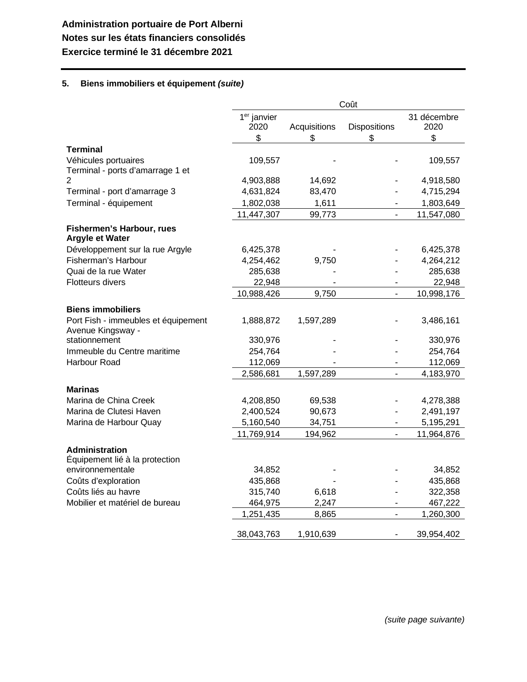## **5. Biens immobiliers et équipement** *(suite)*

|                                                          | Coût                                  |                    |                    |                           |
|----------------------------------------------------------|---------------------------------------|--------------------|--------------------|---------------------------|
|                                                          | 1 <sup>er</sup> janvier<br>2020<br>\$ | Acquisitions<br>\$ | Dispositions<br>\$ | 31 décembre<br>2020<br>\$ |
| <b>Terminal</b>                                          |                                       |                    |                    |                           |
| Véhicules portuaires<br>Terminal - ports d'amarrage 1 et | 109,557                               |                    |                    | 109,557                   |
| $\overline{2}$                                           | 4,903,888                             | 14,692             |                    | 4,918,580                 |
| Terminal - port d'amarrage 3                             | 4,631,824                             | 83,470             |                    | 4,715,294                 |
| Terminal - équipement                                    | 1,802,038                             | 1,611              |                    | 1,803,649                 |
|                                                          | 11,447,307                            | 99,773             | $\blacksquare$     | 11,547,080                |
| Fishermen's Harbour, rues<br><b>Argyle et Water</b>      |                                       |                    |                    |                           |
| Développement sur la rue Argyle                          | 6,425,378                             |                    |                    | 6,425,378                 |
| Fisherman's Harbour                                      | 4,254,462                             | 9,750              |                    | 4,264,212                 |
| Quai de la rue Water                                     | 285,638                               |                    |                    | 285,638                   |
| <b>Flotteurs divers</b>                                  | 22,948                                |                    |                    | 22,948                    |
|                                                          | 10,988,426                            | 9,750              |                    | 10,998,176                |
| <b>Biens immobiliers</b>                                 |                                       |                    |                    |                           |
| Port Fish - immeubles et équipement<br>Avenue Kingsway - | 1,888,872                             | 1,597,289          |                    | 3,486,161                 |
| stationnement                                            | 330,976                               |                    |                    | 330,976                   |
| Immeuble du Centre maritime                              | 254,764                               |                    |                    | 254,764                   |
| Harbour Road                                             | 112,069                               |                    |                    | 112,069                   |
|                                                          | 2,586,681                             | 1,597,289          |                    | 4,183,970                 |
| <b>Marinas</b>                                           |                                       |                    |                    |                           |
| Marina de China Creek                                    | 4,208,850                             | 69,538             |                    | 4,278,388                 |
| Marina de Clutesi Haven                                  | 2,400,524                             | 90,673             |                    | 2,491,197                 |
| Marina de Harbour Quay                                   | 5,160,540                             | 34,751             |                    | 5,195,291                 |
|                                                          | 11,769,914                            | 194,962            | $\overline{a}$     | 11,964,876                |
| Administration<br>Équipement lié à la protection         |                                       |                    |                    |                           |
| environnementale                                         | 34,852                                |                    |                    | 34,852                    |
| Coûts d'exploration                                      | 435,868                               |                    |                    | 435,868                   |
| Coûts liés au havre                                      | 315,740                               | 6,618              |                    | 322,358                   |
| Mobilier et matériel de bureau                           | 464,975                               | 2,247              |                    | 467,222                   |
|                                                          | 1,251,435                             | 8,865              | $\blacksquare$     | 1,260,300                 |
|                                                          | 38,043,763                            | 1,910,639          |                    | 39,954,402                |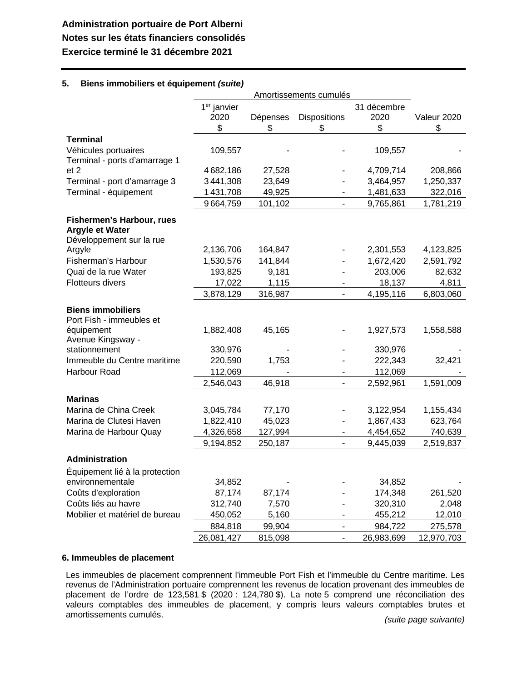## **5. Biens immobiliers et équipement** *(suite)*

|                                                                                        | Amortissements cumulés  |                    |                          |                        |                      |
|----------------------------------------------------------------------------------------|-------------------------|--------------------|--------------------------|------------------------|----------------------|
|                                                                                        | 1 <sup>er</sup> janvier |                    |                          | 31 décembre            |                      |
|                                                                                        | 2020                    | Dépenses           | <b>Dispositions</b>      | 2020                   | Valeur 2020          |
|                                                                                        | \$                      | \$                 | \$                       | \$                     | \$                   |
| <b>Terminal</b>                                                                        |                         |                    |                          |                        |                      |
| Véhicules portuaires<br>Terminal - ports d'amarrage 1                                  | 109,557                 |                    |                          | 109,557                |                      |
| et 2                                                                                   | 4682,186                | 27,528             |                          | 4,709,714              | 208,866              |
| Terminal - port d'amarrage 3                                                           | 3441,308                | 23,649             |                          | 3,464,957              | 1,250,337            |
| Terminal - équipement                                                                  | 1431,708                | 49,925             |                          | 1,481,633              | 322,016              |
|                                                                                        | 9664,759                | 101,102            |                          | 9,765,861              | 1,781,219            |
| <b>Fishermen's Harbour, rues</b><br><b>Argyle et Water</b><br>Développement sur la rue |                         |                    |                          |                        |                      |
| Argyle                                                                                 | 2,136,706               | 164,847            |                          | 2,301,553              | 4,123,825            |
| Fisherman's Harbour                                                                    | 1,530,576               | 141,844            |                          | 1,672,420              | 2,591,792            |
| Quai de la rue Water                                                                   | 193,825                 | 9,181              |                          | 203,006                | 82,632               |
| <b>Flotteurs divers</b>                                                                | 17,022                  | 1,115              |                          | 18,137                 | 4,811                |
|                                                                                        | 3,878,129               | 316,987            | ۰                        | 4,195,116              | 6,803,060            |
| <b>Biens immobiliers</b><br>Port Fish - immeubles et<br>équipement                     | 1,882,408               | 45,165             |                          | 1,927,573              | 1,558,588            |
| Avenue Kingsway -<br>stationnement                                                     | 330,976                 |                    |                          | 330,976                |                      |
| Immeuble du Centre maritime                                                            | 220,590                 | 1,753              |                          | 222,343                | 32,421               |
| Harbour Road                                                                           | 112,069                 |                    |                          | 112,069                |                      |
|                                                                                        | 2,546,043               | 46,918             | $\overline{\phantom{0}}$ | 2,592,961              | 1,591,009            |
|                                                                                        |                         |                    |                          |                        |                      |
| <b>Marinas</b>                                                                         |                         |                    |                          |                        |                      |
| Marina de China Creek<br>Marina de Clutesi Haven                                       | 3,045,784<br>1,822,410  | 77,170             |                          | 3,122,954              | 1,155,434            |
|                                                                                        |                         | 45,023             |                          | 1,867,433<br>4,454,652 | 623,764              |
| Marina de Harbour Quay                                                                 | 4,326,658<br>9,194,852  | 127,994<br>250,187 | ٠                        | 9,445,039              | 740,639<br>2,519,837 |
|                                                                                        |                         |                    |                          |                        |                      |
| <b>Administration</b>                                                                  |                         |                    |                          |                        |                      |
| Équipement lié à la protection                                                         |                         |                    |                          |                        |                      |
| environnementale                                                                       | 34,852                  |                    |                          | 34,852                 |                      |
| Coûts d'exploration                                                                    | 87,174                  | 87,174             |                          | 174,348                | 261,520              |
| Coûts liés au havre                                                                    | 312,740                 | 7,570              |                          | 320,310                | 2,048                |
| Mobilier et matériel de bureau                                                         | 450,052                 | 5,160              |                          | 455,212                | 12,010               |
|                                                                                        | 884,818                 | 99,904             | ۰                        | 984,722                | 275,578              |
|                                                                                        | 26,081,427              | 815,098            | ۰                        | 26,983,699             | 12,970,703           |

### **6. Immeubles de placement**

Les immeubles de placement comprennent l'immeuble Port Fish et l'immeuble du Centre maritime. Les revenus de l'Administration portuaire comprennent les revenus de location provenant des immeubles de placement de l'ordre de 123,581 \$ (2020 : 124,780 \$). La note 5 comprend une réconciliation des valeurs comptables des immeubles de placement, y compris leurs valeurs comptables brutes et amortissements cumulés.

*(suite page suivante)*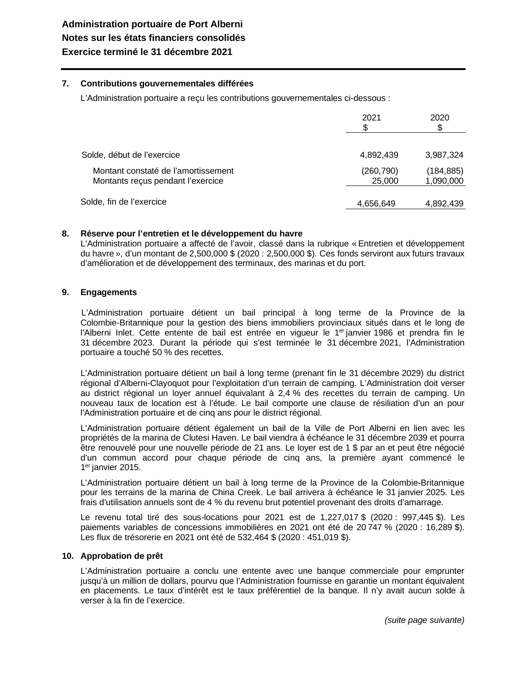## **7. Contributions gouvernementales différées**

L'Administration portuaire a reçu les contributions gouvernementales ci-dessous :

|                                                                          | 2021                 | 2020                   |
|--------------------------------------------------------------------------|----------------------|------------------------|
| Solde, début de l'exercice                                               | 4,892,439            | 3,987,324              |
| Montant constaté de l'amortissement<br>Montants reçus pendant l'exercice | (260, 790)<br>25,000 | (184,885)<br>1,090,000 |
| Solde, fin de l'exercice                                                 | 4,656,649            | 4,892,439              |

## **8. Réserve pour l'entretien et le développement du havre**

L'Administration portuaire a affecté de l'avoir, classé dans la rubrique « Entretien et développement du havre », d'un montant de 2,500,000 \$ (2020 : 2,500,000 \$). Ces fonds serviront aux futurs travaux d'amélioration et de développement des terminaux, des marinas et du port.

## **9. Engagements**

L'Administration portuaire détient un bail principal à long terme de la Province de la Colombie-Britannique pour la gestion des biens immobiliers provinciaux situés dans et le long de l'Alberni Inlet. Cette entente de bail est entrée en vigueur le 1<sup>er</sup> janvier 1986 et prendra fin le 31 décembre 2023. Durant la période qui s'est terminée le 31 décembre 2021, l'Administration portuaire a touché 50 % des recettes.

L'Administration portuaire détient un bail à long terme (prenant fin le 31 décembre 2029) du district régional d'Alberni-Clayoquot pour l'exploitation d'un terrain de camping. L'Administration doit verser au district régional un loyer annuel équivalant à 2,4 % des recettes du terrain de camping. Un nouveau taux de location est à l'étude. Le bail comporte une clause de résiliation d'un an pour l'Administration portuaire et de cinq ans pour le district régional.

L'Administration portuaire détient également un bail de la Ville de Port Alberni en lien avec les propriétés de la marina de Clutesi Haven. Le bail viendra à échéance le 31 décembre 2039 et pourra être renouvelé pour une nouvelle période de 21 ans. Le loyer est de 1 \$ par an et peut être négocié d'un commun accord pour chaque période de cinq ans, la première ayant commencé le 1 er janvier 2015.

L'Administration portuaire détient un bail à long terme de la Province de la Colombie-Britannique pour les terrains de la marina de China Creek. Le bail arrivera à échéance le 31 janvier 2025. Les frais d'utilisation annuels sont de 4 % du revenu brut potentiel provenant des droits d'amarrage.

Le revenu total tiré des sous-locations pour 2021 est de 1,227,017 \$ (2020 : 997,445 \$). Les paiements variables de concessions immobilières en 2021 ont été de 20 747 % (2020 : 16,289 \$). Les flux de trésorerie en 2021 ont été de 532,464 \$ (2020 : 451,019 \$).

### **10. Approbation de prêt**

L'Administration portuaire a conclu une entente avec une banque commerciale pour emprunter jusqu'à un million de dollars, pourvu que l'Administration fournisse en garantie un montant équivalent en placements. Le taux d'intérêt est le taux préférentiel de la banque. Il n'y avait aucun solde à verser à la fin de l'exercice.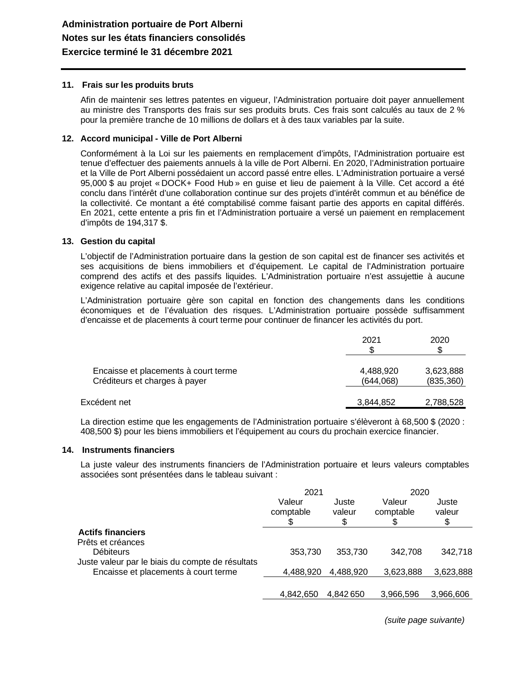#### **11. Frais sur les produits bruts**

Afin de maintenir ses lettres patentes en vigueur, l'Administration portuaire doit payer annuellement au ministre des Transports des frais sur ses produits bruts. Ces frais sont calculés au taux de 2 % pour la première tranche de 10 millions de dollars et à des taux variables par la suite.

#### **12. Accord municipal - Ville de Port Alberni**

Conformément à la Loi sur les paiements en remplacement d'impôts, l'Administration portuaire est tenue d'effectuer des paiements annuels à la ville de Port Alberni. En 2020, l'Administration portuaire et la Ville de Port Alberni possédaient un accord passé entre elles. L'Administration portuaire a versé 95,000 \$ au projet « DOCK+ Food Hub » en guise et lieu de paiement à la Ville. Cet accord a été conclu dans l'intérêt d'une collaboration continue sur des projets d'intérêt commun et au bénéfice de la collectivité. Ce montant a été comptabilisé comme faisant partie des apports en capital différés. En 2021, cette entente a pris fin et l'Administration portuaire a versé un paiement en remplacement d'impôts de 194,317 \$.

#### **13. Gestion du capital**

L'objectif de l'Administration portuaire dans la gestion de son capital est de financer ses activités et ses acquisitions de biens immobiliers et d'équipement. Le capital de l'Administration portuaire comprend des actifs et des passifs liquides. L'Administration portuaire n'est assujettie à aucune exigence relative au capital imposée de l'extérieur.

L'Administration portuaire gère son capital en fonction des changements dans les conditions économiques et de l'évaluation des risques. L'Administration portuaire possède suffisamment d'encaisse et de placements à court terme pour continuer de financer les activités du port.

|                                                                       | 2021<br>S              | 2020                    |
|-----------------------------------------------------------------------|------------------------|-------------------------|
| Encaisse et placements à court terme<br>Créditeurs et charges à payer | 4.488.920<br>(644.068) | 3,623,888<br>(835, 360) |
| Excédent net                                                          | 3.844,852              | 2,788,528               |

La direction estime que les engagements de l'Administration portuaire s'élèveront à 68,500 \$ (2020 : 408,500 \$) pour les biens immobiliers et l'équipement au cours du prochain exercice financier.

#### **14. Instruments financiers**

La juste valeur des instruments financiers de l'Administration portuaire et leurs valeurs comptables associées sont présentées dans le tableau suivant :

|                                                                      | 2021                |                       | 2020                |                       |
|----------------------------------------------------------------------|---------------------|-----------------------|---------------------|-----------------------|
|                                                                      | Valeur<br>comptable | Juste<br>valeur<br>\$ | Valeur<br>comptable | Juste<br>valeur<br>\$ |
| <b>Actifs financiers</b><br>Prêts et créances                        |                     |                       |                     |                       |
| <b>Débiteurs</b><br>Juste valeur par le biais du compte de résultats | 353,730             | 353,730               | 342.708             | 342.718               |
| Encaisse et placements à court terme                                 | 4.488.920           | 4.488.920             | 3,623,888           | 3,623,888             |
|                                                                      | 4.842.650           | 4.842650              | 3.966.596           | 3.966.606             |

*(suite page suivante)*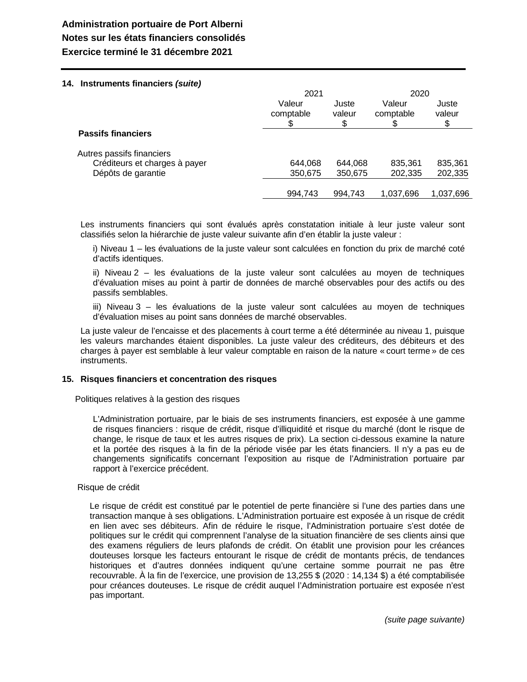## **14. Instruments financiers** *(suite)*

|                               | 2021      |         | 2020      |           |
|-------------------------------|-----------|---------|-----------|-----------|
|                               | Valeur    | Juste   | Valeur    | Juste     |
|                               | comptable | valeur  | comptable | valeur    |
|                               |           | \$      |           | \$        |
| <b>Passifs financiers</b>     |           |         |           |           |
| Autres passifs financiers     |           |         |           |           |
| Créditeurs et charges à payer | 644,068   | 644,068 | 835,361   | 835,361   |
| Dépôts de garantie            | 350,675   | 350,675 | 202,335   | 202,335   |
|                               | 994,743   | 994.743 | 1.037.696 | 1,037,696 |

Les instruments financiers qui sont évalués après constatation initiale à leur juste valeur sont classifiés selon la hiérarchie de juste valeur suivante afin d'en établir la juste valeur :

i) Niveau 1 – les évaluations de la juste valeur sont calculées en fonction du prix de marché coté d'actifs identiques.

ii) Niveau 2 – les évaluations de la juste valeur sont calculées au moyen de techniques d'évaluation mises au point à partir de données de marché observables pour des actifs ou des passifs semblables.

iii) Niveau 3 – les évaluations de la juste valeur sont calculées au moyen de techniques d'évaluation mises au point sans données de marché observables.

La juste valeur de l'encaisse et des placements à court terme a été déterminée au niveau 1, puisque les valeurs marchandes étaient disponibles. La juste valeur des créditeurs, des débiteurs et des charges à payer est semblable à leur valeur comptable en raison de la nature « court terme » de ces instruments.

### **15. Risques financiers et concentration des risques**

### Politiques relatives à la gestion des risques

L'Administration portuaire, par le biais de ses instruments financiers, est exposée à une gamme de risques financiers : risque de crédit, risque d'illiquidité et risque du marché (dont le risque de change, le risque de taux et les autres risques de prix). La section ci-dessous examine la nature et la portée des risques à la fin de la période visée par les états financiers. Il n'y a pas eu de changements significatifs concernant l'exposition au risque de l'Administration portuaire par rapport à l'exercice précédent.

### Risque de crédit

Le risque de crédit est constitué par le potentiel de perte financière si l'une des parties dans une transaction manque à ses obligations. L'Administration portuaire est exposée à un risque de crédit en lien avec ses débiteurs. Afin de réduire le risque, l'Administration portuaire s'est dotée de politiques sur le crédit qui comprennent l'analyse de la situation financière de ses clients ainsi que des examens réguliers de leurs plafonds de crédit. On établit une provision pour les créances douteuses lorsque les facteurs entourant le risque de crédit de montants précis, de tendances historiques et d'autres données indiquent qu'une certaine somme pourrait ne pas être recouvrable. À la fin de l'exercice, une provision de 13,255 \$ (2020 : 14,134 \$) a été comptabilisée pour créances douteuses. Le risque de crédit auquel l'Administration portuaire est exposée n'est pas important.